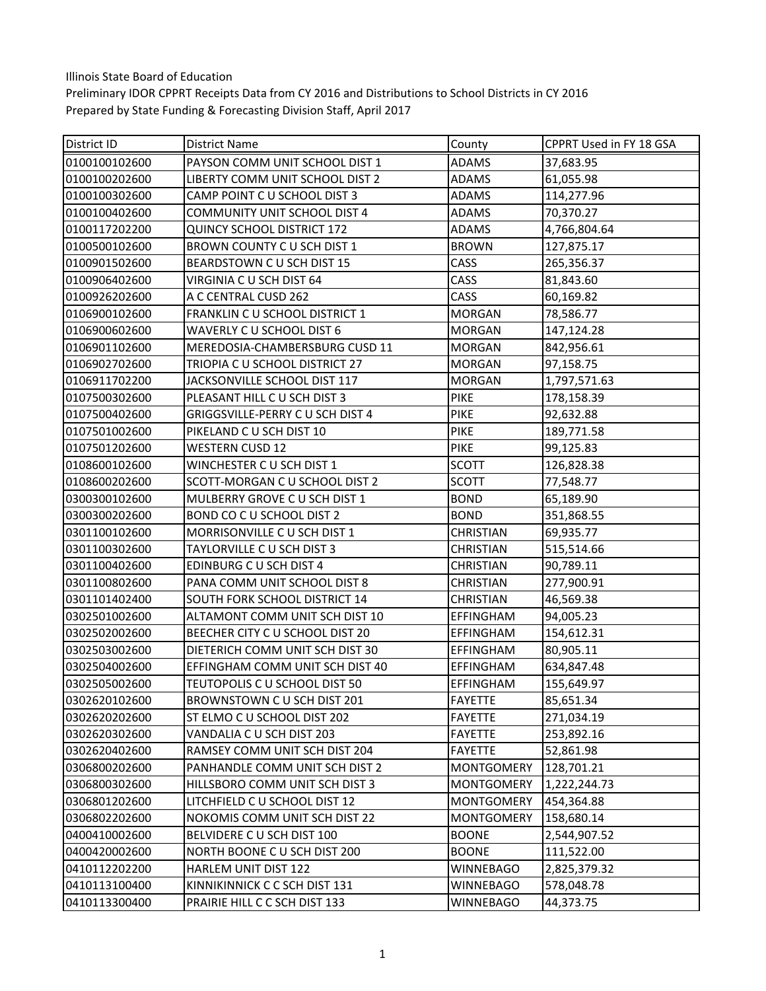| District ID   | District Name                     | County            | <b>CPPRT Used in FY 18 GSA</b> |
|---------------|-----------------------------------|-------------------|--------------------------------|
| 0100100102600 | PAYSON COMM UNIT SCHOOL DIST 1    | <b>ADAMS</b>      | 37,683.95                      |
| 0100100202600 | LIBERTY COMM UNIT SCHOOL DIST 2   | <b>ADAMS</b>      | 61,055.98                      |
| 0100100302600 | CAMP POINT CU SCHOOL DIST 3       | <b>ADAMS</b>      | 114,277.96                     |
| 0100100402600 | COMMUNITY UNIT SCHOOL DIST 4      | <b>ADAMS</b>      | 70,370.27                      |
| 0100117202200 | <b>QUINCY SCHOOL DISTRICT 172</b> | <b>ADAMS</b>      | 4,766,804.64                   |
| 0100500102600 | BROWN COUNTY CU SCH DIST 1        | <b>BROWN</b>      | 127,875.17                     |
| 0100901502600 | BEARDSTOWN CU SCH DIST 15         | CASS              | 265,356.37                     |
| 0100906402600 | VIRGINIA C U SCH DIST 64          | CASS              | 81,843.60                      |
| 0100926202600 | A C CENTRAL CUSD 262              | CASS              | 60,169.82                      |
| 0106900102600 | FRANKLIN C U SCHOOL DISTRICT 1    | <b>MORGAN</b>     | 78,586.77                      |
| 0106900602600 | WAVERLY C U SCHOOL DIST 6         | <b>MORGAN</b>     | 147,124.28                     |
| 0106901102600 | MEREDOSIA-CHAMBERSBURG CUSD 11    | <b>MORGAN</b>     | 842,956.61                     |
| 0106902702600 | TRIOPIA C U SCHOOL DISTRICT 27    | <b>MORGAN</b>     | 97,158.75                      |
| 0106911702200 | JACKSONVILLE SCHOOL DIST 117      | <b>MORGAN</b>     | 1,797,571.63                   |
| 0107500302600 | PLEASANT HILL C U SCH DIST 3      | PIKE              | 178,158.39                     |
| 0107500402600 | GRIGGSVILLE-PERRY C U SCH DIST 4  | <b>PIKE</b>       | 92,632.88                      |
| 0107501002600 | PIKELAND C U SCH DIST 10          | <b>PIKE</b>       | 189,771.58                     |
| 0107501202600 | <b>WESTERN CUSD 12</b>            | PIKE              | 99,125.83                      |
| 0108600102600 | WINCHESTER C U SCH DIST 1         | <b>SCOTT</b>      | 126,828.38                     |
| 0108600202600 | SCOTT-MORGAN C U SCHOOL DIST 2    | <b>SCOTT</b>      | 77,548.77                      |
| 0300300102600 | MULBERRY GROVE C U SCH DIST 1     | <b>BOND</b>       | 65,189.90                      |
| 0300300202600 | BOND CO C U SCHOOL DIST 2         | <b>BOND</b>       | 351,868.55                     |
| 0301100102600 | MORRISONVILLE C U SCH DIST 1      | <b>CHRISTIAN</b>  | 69,935.77                      |
| 0301100302600 | TAYLORVILLE C U SCH DIST 3        | <b>CHRISTIAN</b>  | 515,514.66                     |
| 0301100402600 | EDINBURG C U SCH DIST 4           | <b>CHRISTIAN</b>  | 90,789.11                      |
| 0301100802600 | PANA COMM UNIT SCHOOL DIST 8      | <b>CHRISTIAN</b>  | 277,900.91                     |
| 0301101402400 | SOUTH FORK SCHOOL DISTRICT 14     | <b>CHRISTIAN</b>  | 46,569.38                      |
| 0302501002600 | ALTAMONT COMM UNIT SCH DIST 10    | EFFINGHAM         | 94,005.23                      |
| 0302502002600 | BEECHER CITY C U SCHOOL DIST 20   | EFFINGHAM         | 154,612.31                     |
| 0302503002600 | DIETERICH COMM UNIT SCH DIST 30   | EFFINGHAM         | 80,905.11                      |
| 0302504002600 | EFFINGHAM COMM UNIT SCH DIST 40   | <b>EFFINGHAM</b>  | 634,847.48                     |
| 0302505002600 | TEUTOPOLIS C U SCHOOL DIST 50     | <b>EFFINGHAM</b>  | 155,649.97                     |
| 0302620102600 | BROWNSTOWN CU SCH DIST 201        | <b>FAYETTE</b>    | 85,651.34                      |
| 0302620202600 | ST ELMO C U SCHOOL DIST 202       | <b>FAYETTE</b>    | 271,034.19                     |
| 0302620302600 | VANDALIA C U SCH DIST 203         | <b>FAYETTE</b>    | 253,892.16                     |
| 0302620402600 | RAMSEY COMM UNIT SCH DIST 204     | <b>FAYETTE</b>    | 52,861.98                      |
| 0306800202600 | PANHANDLE COMM UNIT SCH DIST 2    | <b>MONTGOMERY</b> | 128,701.21                     |
| 0306800302600 | HILLSBORO COMM UNIT SCH DIST 3    | <b>MONTGOMERY</b> | 1,222,244.73                   |
| 0306801202600 | LITCHFIELD C U SCHOOL DIST 12     | <b>MONTGOMERY</b> | 454,364.88                     |
| 0306802202600 | NOKOMIS COMM UNIT SCH DIST 22     | <b>MONTGOMERY</b> | 158,680.14                     |
| 0400410002600 | BELVIDERE C U SCH DIST 100        | <b>BOONE</b>      | 2,544,907.52                   |
| 0400420002600 | NORTH BOONE C U SCH DIST 200      | <b>BOONE</b>      | 111,522.00                     |
| 0410112202200 | HARLEM UNIT DIST 122              | <b>WINNEBAGO</b>  | 2,825,379.32                   |
| 0410113100400 | KINNIKINNICK C C SCH DIST 131     | <b>WINNEBAGO</b>  | 578,048.78                     |
| 0410113300400 | PRAIRIE HILL C C SCH DIST 133     | WINNEBAGO         | 44,373.75                      |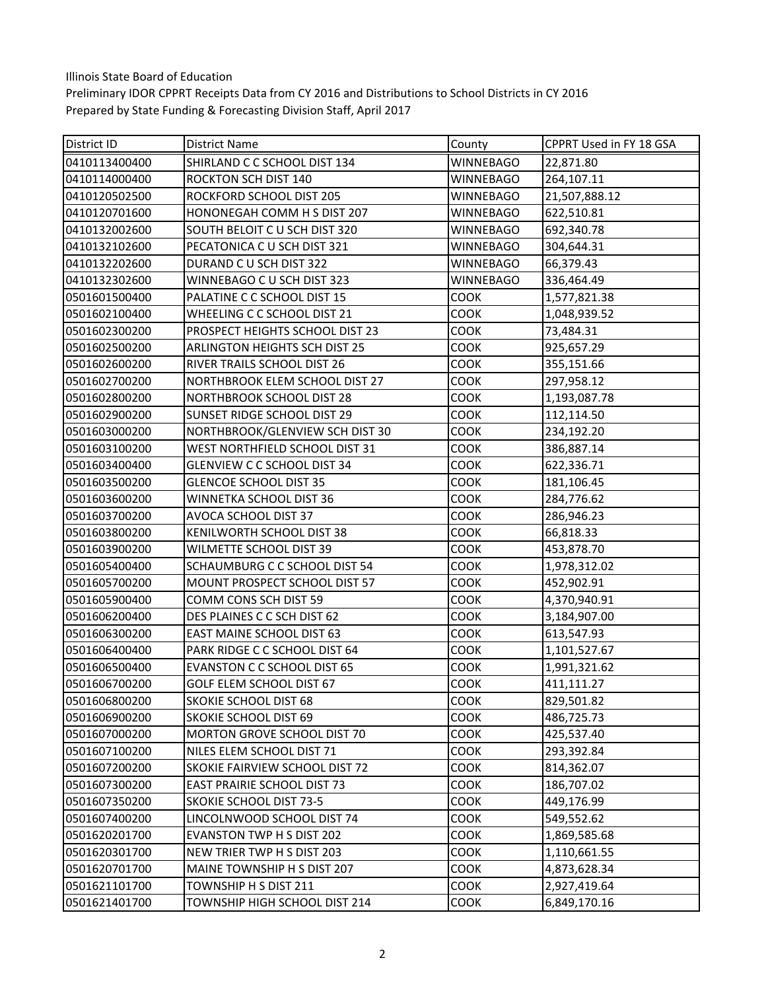| District ID   | District Name                      | County           | CPPRT Used in FY 18 GSA |
|---------------|------------------------------------|------------------|-------------------------|
| 0410113400400 | SHIRLAND C C SCHOOL DIST 134       | <b>WINNEBAGO</b> | 22,871.80               |
| 0410114000400 | ROCKTON SCH DIST 140               | <b>WINNEBAGO</b> | 264,107.11              |
| 0410120502500 | ROCKFORD SCHOOL DIST 205           | <b>WINNEBAGO</b> | 21,507,888.12           |
| 0410120701600 | HONONEGAH COMM H S DIST 207        | <b>WINNEBAGO</b> | 622,510.81              |
| 0410132002600 | SOUTH BELOIT C U SCH DIST 320      | <b>WINNEBAGO</b> | 692,340.78              |
| 0410132102600 | PECATONICA C U SCH DIST 321        | <b>WINNEBAGO</b> | 304,644.31              |
| 0410132202600 | DURAND C U SCH DIST 322            | <b>WINNEBAGO</b> | 66,379.43               |
| 0410132302600 | WINNEBAGO C U SCH DIST 323         | WINNEBAGO        | 336,464.49              |
| 0501601500400 | PALATINE C C SCHOOL DIST 15        | COOK             | 1,577,821.38            |
| 0501602100400 | WHEELING C C SCHOOL DIST 21        | COOK             | 1,048,939.52            |
| 0501602300200 | PROSPECT HEIGHTS SCHOOL DIST 23    | COOK             | 73,484.31               |
| 0501602500200 | ARLINGTON HEIGHTS SCH DIST 25      | COOK             | 925,657.29              |
| 0501602600200 | RIVER TRAILS SCHOOL DIST 26        | COOK             | 355,151.66              |
| 0501602700200 | NORTHBROOK ELEM SCHOOL DIST 27     | COOK             | 297,958.12              |
| 0501602800200 | <b>NORTHBROOK SCHOOL DIST 28</b>   | COOK             | 1,193,087.78            |
| 0501602900200 | SUNSET RIDGE SCHOOL DIST 29        | <b>COOK</b>      | 112,114.50              |
| 0501603000200 | NORTHBROOK/GLENVIEW SCH DIST 30    | COOK             | 234,192.20              |
| 0501603100200 | WEST NORTHFIELD SCHOOL DIST 31     | COOK             | 386,887.14              |
| 0501603400400 | <b>GLENVIEW C C SCHOOL DIST 34</b> | COOK             | 622,336.71              |
| 0501603500200 | <b>GLENCOE SCHOOL DIST 35</b>      | COOK             | 181,106.45              |
| 0501603600200 | WINNETKA SCHOOL DIST 36            | COOK             | 284,776.62              |
| 0501603700200 | AVOCA SCHOOL DIST 37               | COOK             | 286,946.23              |
| 0501603800200 | KENILWORTH SCHOOL DIST 38          | COOK             | 66,818.33               |
| 0501603900200 | WILMETTE SCHOOL DIST 39            | COOK             | 453,878.70              |
| 0501605400400 | SCHAUMBURG C C SCHOOL DIST 54      | COOK             | 1,978,312.02            |
| 0501605700200 | MOUNT PROSPECT SCHOOL DIST 57      | COOK             | 452,902.91              |
| 0501605900400 | COMM CONS SCH DIST 59              | COOK             | 4,370,940.91            |
| 0501606200400 | DES PLAINES C C SCH DIST 62        | COOK             | 3,184,907.00            |
| 0501606300200 | EAST MAINE SCHOOL DIST 63          | COOK             | 613,547.93              |
| 0501606400400 | PARK RIDGE C C SCHOOL DIST 64      | COOK             | 1,101,527.67            |
| 0501606500400 | <b>EVANSTON C C SCHOOL DIST 65</b> | COOK             | 1,991,321.62            |
| 0501606700200 | GOLF ELEM SCHOOL DIST 67           | COOK             | 411,111.27              |
| 0501606800200 | SKOKIE SCHOOL DIST 68              | <b>COOK</b>      | 829,501.82              |
| 0501606900200 | <b>SKOKIE SCHOOL DIST 69</b>       | COOK             | 486,725.73              |
| 0501607000200 | MORTON GROVE SCHOOL DIST 70        | COOK             | 425,537.40              |
| 0501607100200 | NILES ELEM SCHOOL DIST 71          | COOK             | 293,392.84              |
| 0501607200200 | SKOKIE FAIRVIEW SCHOOL DIST 72     | COOK             | 814,362.07              |
| 0501607300200 | EAST PRAIRIE SCHOOL DIST 73        | COOK             | 186,707.02              |
| 0501607350200 | <b>SKOKIE SCHOOL DIST 73-5</b>     | COOK             | 449,176.99              |
| 0501607400200 | LINCOLNWOOD SCHOOL DIST 74         | COOK             | 549,552.62              |
| 0501620201700 | <b>EVANSTON TWP H S DIST 202</b>   | COOK             | 1,869,585.68            |
| 0501620301700 | NEW TRIER TWP H S DIST 203         | COOK             | 1,110,661.55            |
| 0501620701700 | MAINE TOWNSHIP H S DIST 207        | COOK             | 4,873,628.34            |
| 0501621101700 | TOWNSHIP H S DIST 211              | COOK             | 2,927,419.64            |
| 0501621401700 | TOWNSHIP HIGH SCHOOL DIST 214      | COOK             | 6,849,170.16            |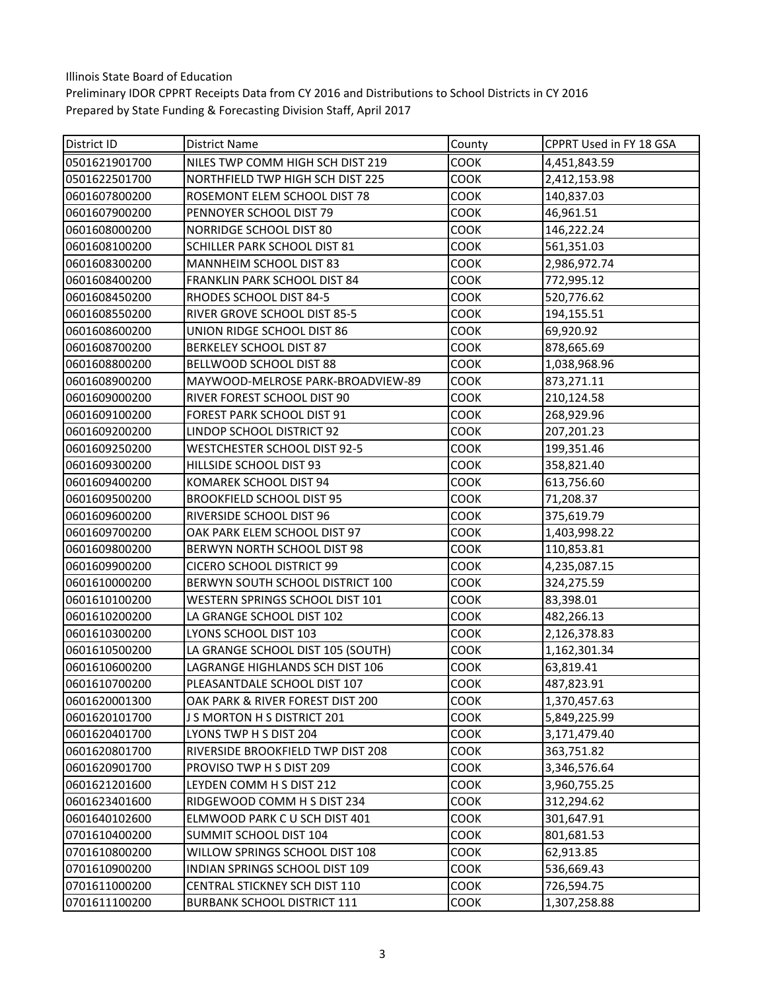| District ID   | <b>District Name</b>                | County      | CPPRT Used in FY 18 GSA |
|---------------|-------------------------------------|-------------|-------------------------|
| 0501621901700 | NILES TWP COMM HIGH SCH DIST 219    | COOK        | 4,451,843.59            |
| 0501622501700 | NORTHFIELD TWP HIGH SCH DIST 225    | COOK        | 2,412,153.98            |
| 0601607800200 | ROSEMONT ELEM SCHOOL DIST 78        | COOK        | 140,837.03              |
| 0601607900200 | PENNOYER SCHOOL DIST 79             | COOK        | 46,961.51               |
| 0601608000200 | NORRIDGE SCHOOL DIST 80             | COOK        | 146,222.24              |
| 0601608100200 | SCHILLER PARK SCHOOL DIST 81        | COOK        | 561,351.03              |
| 0601608300200 | MANNHEIM SCHOOL DIST 83             | COOK        | 2,986,972.74            |
| 0601608400200 | FRANKLIN PARK SCHOOL DIST 84        | COOK        | 772,995.12              |
| 0601608450200 | RHODES SCHOOL DIST 84-5             | <b>COOK</b> | 520,776.62              |
| 0601608550200 | RIVER GROVE SCHOOL DIST 85-5        | COOK        | 194,155.51              |
| 0601608600200 | UNION RIDGE SCHOOL DIST 86          | COOK        | 69,920.92               |
| 0601608700200 | BERKELEY SCHOOL DIST 87             | COOK        | 878,665.69              |
| 0601608800200 | BELLWOOD SCHOOL DIST 88             | <b>COOK</b> | 1,038,968.96            |
| 0601608900200 | MAYWOOD-MELROSE PARK-BROADVIEW-89   | <b>COOK</b> | 873,271.11              |
| 0601609000200 | RIVER FOREST SCHOOL DIST 90         | <b>COOK</b> | 210,124.58              |
| 0601609100200 | FOREST PARK SCHOOL DIST 91          | COOK        | 268,929.96              |
| 0601609200200 | LINDOP SCHOOL DISTRICT 92           | COOK        | 207,201.23              |
| 0601609250200 | <b>WESTCHESTER SCHOOL DIST 92-5</b> | COOK        | 199,351.46              |
| 0601609300200 | HILLSIDE SCHOOL DIST 93             | COOK        | 358,821.40              |
| 0601609400200 | KOMAREK SCHOOL DIST 94              | COOK        | 613,756.60              |
| 0601609500200 | <b>BROOKFIELD SCHOOL DIST 95</b>    | COOK        | 71,208.37               |
| 0601609600200 | RIVERSIDE SCHOOL DIST 96            | COOK        | 375,619.79              |
| 0601609700200 | OAK PARK ELEM SCHOOL DIST 97        | <b>COOK</b> | 1,403,998.22            |
| 0601609800200 | BERWYN NORTH SCHOOL DIST 98         | COOK        | 110,853.81              |
| 0601609900200 | <b>CICERO SCHOOL DISTRICT 99</b>    | <b>COOK</b> | 4,235,087.15            |
| 0601610000200 | BERWYN SOUTH SCHOOL DISTRICT 100    | COOK        | 324,275.59              |
| 0601610100200 | WESTERN SPRINGS SCHOOL DIST 101     | COOK        | 83,398.01               |
| 0601610200200 | LA GRANGE SCHOOL DIST 102           | COOK        | 482,266.13              |
| 0601610300200 | LYONS SCHOOL DIST 103               | <b>COOK</b> | 2,126,378.83            |
| 0601610500200 | LA GRANGE SCHOOL DIST 105 (SOUTH)   | COOK        | 1,162,301.34            |
| 0601610600200 | LAGRANGE HIGHLANDS SCH DIST 106     | <b>COOK</b> | 63,819.41               |
| 0601610700200 | PLEASANTDALE SCHOOL DIST 107        | <b>COOK</b> | 487,823.91              |
| 0601620001300 | OAK PARK & RIVER FOREST DIST 200    | COOK        | 1,370,457.63            |
| 0601620101700 | J S MORTON H S DISTRICT 201         | COOK        | 5,849,225.99            |
| 0601620401700 | LYONS TWP H S DIST 204              | <b>COOK</b> | 3,171,479.40            |
| 0601620801700 | RIVERSIDE BROOKFIELD TWP DIST 208   | COOK        | 363,751.82              |
| 0601620901700 | PROVISO TWP H S DIST 209            | COOK        | 3,346,576.64            |
| 0601621201600 | LEYDEN COMM H S DIST 212            | COOK        | 3,960,755.25            |
| 0601623401600 | RIDGEWOOD COMM H S DIST 234         | COOK        | 312,294.62              |
| 0601640102600 | ELMWOOD PARK C U SCH DIST 401       | COOK        | 301,647.91              |
| 0701610400200 | SUMMIT SCHOOL DIST 104              | COOK        | 801,681.53              |
| 0701610800200 | WILLOW SPRINGS SCHOOL DIST 108      | COOK        | 62,913.85               |
| 0701610900200 | INDIAN SPRINGS SCHOOL DIST 109      | COOK        | 536,669.43              |
| 0701611000200 | CENTRAL STICKNEY SCH DIST 110       | COOK        | 726,594.75              |
| 0701611100200 | <b>BURBANK SCHOOL DISTRICT 111</b>  | COOK        | 1,307,258.88            |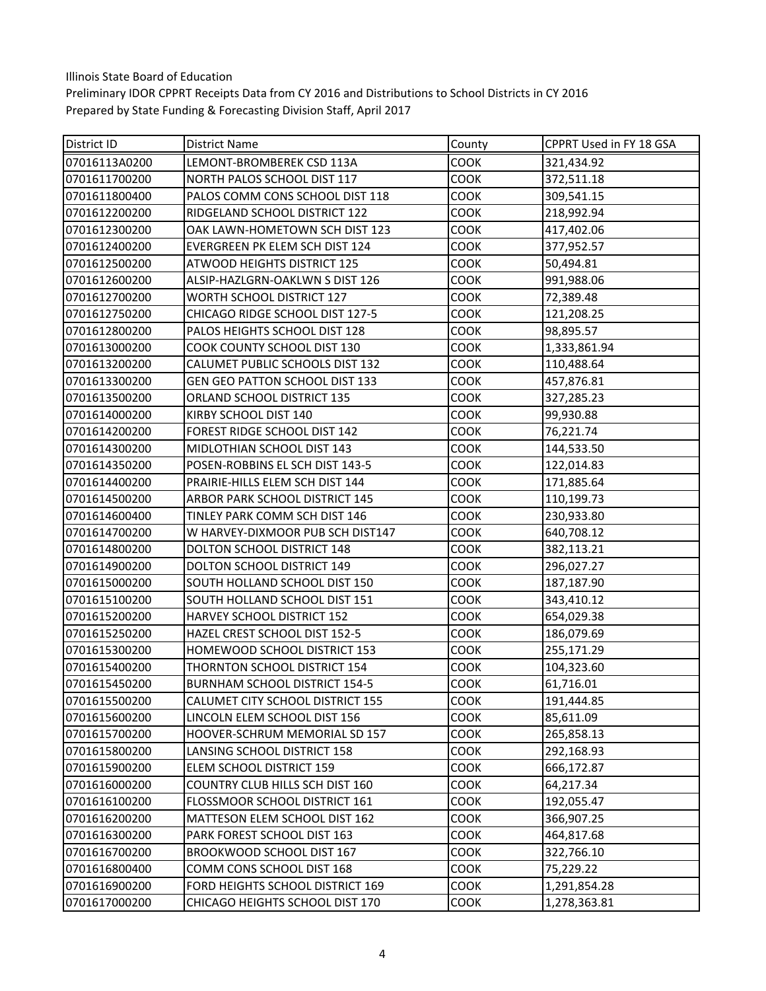| District ID   | District Name                      | County      | CPPRT Used in FY 18 GSA |
|---------------|------------------------------------|-------------|-------------------------|
| 07016113A0200 | LEMONT-BROMBEREK CSD 113A          | COOK        | 321,434.92              |
| 0701611700200 | NORTH PALOS SCHOOL DIST 117        | COOK        | 372,511.18              |
| 0701611800400 | PALOS COMM CONS SCHOOL DIST 118    | COOK        | 309,541.15              |
| 0701612200200 | RIDGELAND SCHOOL DISTRICT 122      | COOK        | 218,992.94              |
| 0701612300200 | OAK LAWN-HOMETOWN SCH DIST 123     | COOK        | 417,402.06              |
| 0701612400200 | EVERGREEN PK ELEM SCH DIST 124     | COOK        | 377,952.57              |
| 0701612500200 | <b>ATWOOD HEIGHTS DISTRICT 125</b> | COOK        | 50,494.81               |
| 0701612600200 | ALSIP-HAZLGRN-OAKLWN S DIST 126    | COOK        | 991,988.06              |
| 0701612700200 | <b>WORTH SCHOOL DISTRICT 127</b>   | COOK        | 72,389.48               |
| 0701612750200 | CHICAGO RIDGE SCHOOL DIST 127-5    | COOK        | 121,208.25              |
| 0701612800200 | PALOS HEIGHTS SCHOOL DIST 128      | COOK        | 98,895.57               |
| 0701613000200 | COOK COUNTY SCHOOL DIST 130        | COOK        | 1,333,861.94            |
| 0701613200200 | CALUMET PUBLIC SCHOOLS DIST 132    | COOK        | 110,488.64              |
| 0701613300200 | GEN GEO PATTON SCHOOL DIST 133     | COOK        | 457,876.81              |
| 0701613500200 | ORLAND SCHOOL DISTRICT 135         | COOK        | 327,285.23              |
| 0701614000200 | KIRBY SCHOOL DIST 140              | COOK        | 99,930.88               |
| 0701614200200 | FOREST RIDGE SCHOOL DIST 142       | COOK        | 76,221.74               |
| 0701614300200 | MIDLOTHIAN SCHOOL DIST 143         | COOK        | 144,533.50              |
| 0701614350200 | POSEN-ROBBINS EL SCH DIST 143-5    | COOK        | 122,014.83              |
| 0701614400200 | PRAIRIE-HILLS ELEM SCH DIST 144    | COOK        | 171,885.64              |
| 0701614500200 | ARBOR PARK SCHOOL DISTRICT 145     | COOK        | 110,199.73              |
| 0701614600400 | TINLEY PARK COMM SCH DIST 146      | COOK        | 230,933.80              |
| 0701614700200 | W HARVEY-DIXMOOR PUB SCH DIST147   | COOK        | 640,708.12              |
| 0701614800200 | DOLTON SCHOOL DISTRICT 148         | COOK        | 382,113.21              |
| 0701614900200 | DOLTON SCHOOL DISTRICT 149         | COOK        | 296,027.27              |
| 0701615000200 | SOUTH HOLLAND SCHOOL DIST 150      | COOK        | 187,187.90              |
| 0701615100200 | SOUTH HOLLAND SCHOOL DIST 151      | COOK        | 343,410.12              |
| 0701615200200 | HARVEY SCHOOL DISTRICT 152         | COOK        | 654,029.38              |
| 0701615250200 | HAZEL CREST SCHOOL DIST 152-5      | COOK        | 186,079.69              |
| 0701615300200 | HOMEWOOD SCHOOL DISTRICT 153       | COOK        | 255,171.29              |
| 0701615400200 | THORNTON SCHOOL DISTRICT 154       | COOK        | 104,323.60              |
| 0701615450200 | BURNHAM SCHOOL DISTRICT 154-5      | <b>COOK</b> | 61,716.01               |
| 0701615500200 | CALUMET CITY SCHOOL DISTRICT 155   | COOK        | 191,444.85              |
| 0701615600200 | LINCOLN ELEM SCHOOL DIST 156       | COOK        | 85,611.09               |
| 0701615700200 | HOOVER-SCHRUM MEMORIAL SD 157      | COOK        | 265,858.13              |
| 0701615800200 | LANSING SCHOOL DISTRICT 158        | COOK        | 292,168.93              |
| 0701615900200 | ELEM SCHOOL DISTRICT 159           | COOK        | 666,172.87              |
| 0701616000200 | COUNTRY CLUB HILLS SCH DIST 160    | COOK        | 64,217.34               |
| 0701616100200 | FLOSSMOOR SCHOOL DISTRICT 161      | COOK        | 192,055.47              |
| 0701616200200 | MATTESON ELEM SCHOOL DIST 162      | COOK        | 366,907.25              |
| 0701616300200 | PARK FOREST SCHOOL DIST 163        | COOK        | 464,817.68              |
| 0701616700200 | BROOKWOOD SCHOOL DIST 167          | COOK        | 322,766.10              |
| 0701616800400 | COMM CONS SCHOOL DIST 168          | COOK        | 75,229.22               |
| 0701616900200 | FORD HEIGHTS SCHOOL DISTRICT 169   | COOK        | 1,291,854.28            |
| 0701617000200 | CHICAGO HEIGHTS SCHOOL DIST 170    | COOK        | 1,278,363.81            |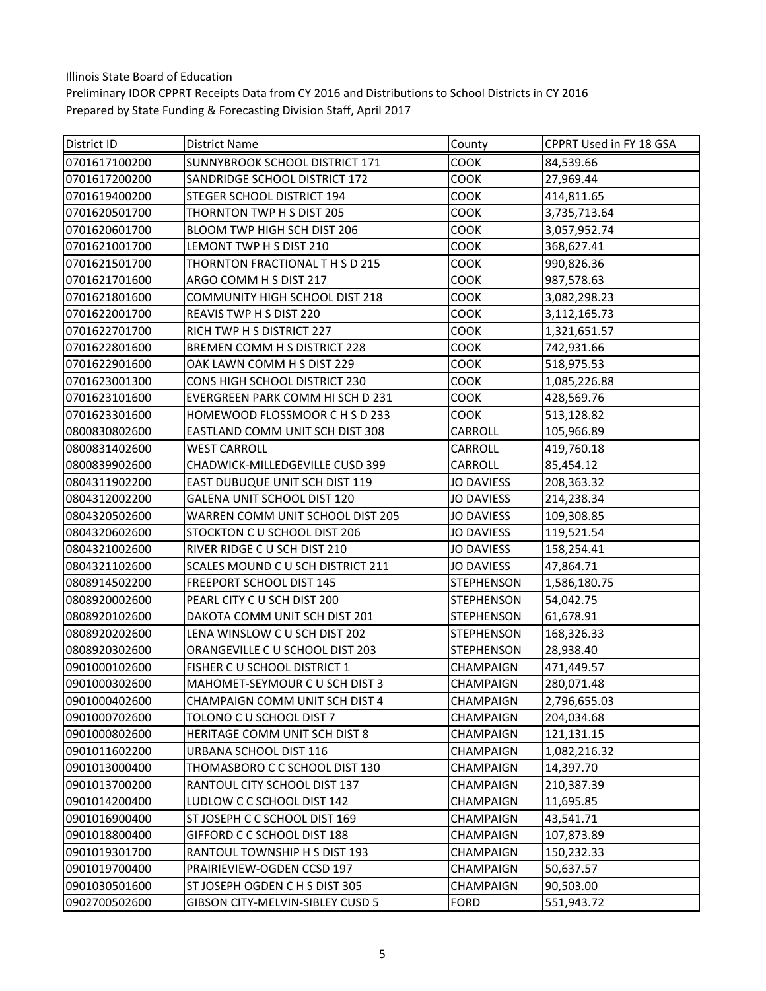| District ID   | <b>District Name</b>                  | County            | CPPRT Used in FY 18 GSA |
|---------------|---------------------------------------|-------------------|-------------------------|
| 0701617100200 | <b>SUNNYBROOK SCHOOL DISTRICT 171</b> | COOK              | 84,539.66               |
| 0701617200200 | SANDRIDGE SCHOOL DISTRICT 172         | COOK              | 27,969.44               |
| 0701619400200 | STEGER SCHOOL DISTRICT 194            | COOK              | 414,811.65              |
| 0701620501700 | THORNTON TWP H S DIST 205             | <b>COOK</b>       | 3,735,713.64            |
| 0701620601700 | BLOOM TWP HIGH SCH DIST 206           | <b>COOK</b>       | 3,057,952.74            |
| 0701621001700 | LEMONT TWP H S DIST 210               | COOK              | 368,627.41              |
| 0701621501700 | THORNTON FRACTIONAL THSD 215          | COOK              | 990,826.36              |
| 0701621701600 | ARGO COMM H S DIST 217                | COOK              | 987,578.63              |
| 0701621801600 | COMMUNITY HIGH SCHOOL DIST 218        | <b>COOK</b>       | 3,082,298.23            |
| 0701622001700 | REAVIS TWP H S DIST 220               | COOK              | 3,112,165.73            |
| 0701622701700 | RICH TWP H S DISTRICT 227             | COOK              | 1,321,651.57            |
| 0701622801600 | BREMEN COMM H S DISTRICT 228          | COOK              | 742,931.66              |
| 0701622901600 | OAK LAWN COMM H S DIST 229            | <b>COOK</b>       | 518,975.53              |
| 0701623001300 | CONS HIGH SCHOOL DISTRICT 230         | <b>COOK</b>       | 1,085,226.88            |
| 0701623101600 | EVERGREEN PARK COMM HI SCH D 231      | COOK              | 428,569.76              |
| 0701623301600 | HOMEWOOD FLOSSMOOR C H S D 233        | COOK              | 513,128.82              |
| 0800830802600 | EASTLAND COMM UNIT SCH DIST 308       | CARROLL           | 105,966.89              |
| 0800831402600 | <b>WEST CARROLL</b>                   | CARROLL           | 419,760.18              |
| 0800839902600 | CHADWICK-MILLEDGEVILLE CUSD 399       | <b>CARROLL</b>    | 85,454.12               |
| 0804311902200 | EAST DUBUQUE UNIT SCH DIST 119        | <b>JO DAVIESS</b> | 208,363.32              |
| 0804312002200 | GALENA UNIT SCHOOL DIST 120           | <b>JO DAVIESS</b> | 214,238.34              |
| 0804320502600 | WARREN COMM UNIT SCHOOL DIST 205      | <b>JO DAVIESS</b> | 109,308.85              |
| 0804320602600 | STOCKTON C U SCHOOL DIST 206          | <b>JO DAVIESS</b> | 119,521.54              |
| 0804321002600 | RIVER RIDGE C U SCH DIST 210          | <b>JO DAVIESS</b> | 158,254.41              |
| 0804321102600 | SCALES MOUND C U SCH DISTRICT 211     | <b>JO DAVIESS</b> | 47,864.71               |
| 0808914502200 | FREEPORT SCHOOL DIST 145              | <b>STEPHENSON</b> | 1,586,180.75            |
| 0808920002600 | PEARL CITY C U SCH DIST 200           | <b>STEPHENSON</b> | 54,042.75               |
| 0808920102600 | DAKOTA COMM UNIT SCH DIST 201         | <b>STEPHENSON</b> | 61,678.91               |
| 0808920202600 | LENA WINSLOW C U SCH DIST 202         | <b>STEPHENSON</b> | 168,326.33              |
| 0808920302600 | ORANGEVILLE C U SCHOOL DIST 203       | <b>STEPHENSON</b> | 28,938.40               |
| 0901000102600 | FISHER C U SCHOOL DISTRICT 1          | <b>CHAMPAIGN</b>  | 471,449.57              |
| 0901000302600 | MAHOMET-SEYMOUR C U SCH DIST 3        | <b>CHAMPAIGN</b>  | 280,071.48              |
| 0901000402600 | CHAMPAIGN COMM UNIT SCH DIST 4        | CHAMPAIGN         | 2,796,655.03            |
| 0901000702600 | TOLONO C U SCHOOL DIST 7              | CHAMPAIGN         | 204,034.68              |
| 0901000802600 | HERITAGE COMM UNIT SCH DIST 8         | CHAMPAIGN         | 121,131.15              |
| 0901011602200 | URBANA SCHOOL DIST 116                | <b>CHAMPAIGN</b>  | 1,082,216.32            |
| 0901013000400 | THOMASBORO C C SCHOOL DIST 130        | CHAMPAIGN         | 14,397.70               |
| 0901013700200 | RANTOUL CITY SCHOOL DIST 137          | CHAMPAIGN         | 210,387.39              |
| 0901014200400 | LUDLOW C C SCHOOL DIST 142            | CHAMPAIGN         | 11,695.85               |
| 0901016900400 | ST JOSEPH C C SCHOOL DIST 169         | <b>CHAMPAIGN</b>  | 43,541.71               |
| 0901018800400 | GIFFORD C C SCHOOL DIST 188           | CHAMPAIGN         | 107,873.89              |
| 0901019301700 | RANTOUL TOWNSHIP H S DIST 193         | CHAMPAIGN         | 150,232.33              |
| 0901019700400 | PRAIRIEVIEW-OGDEN CCSD 197            | CHAMPAIGN         | 50,637.57               |
| 0901030501600 | ST JOSEPH OGDEN C H S DIST 305        | CHAMPAIGN         | 90,503.00               |
| 0902700502600 | GIBSON CITY-MELVIN-SIBLEY CUSD 5      | <b>FORD</b>       | 551,943.72              |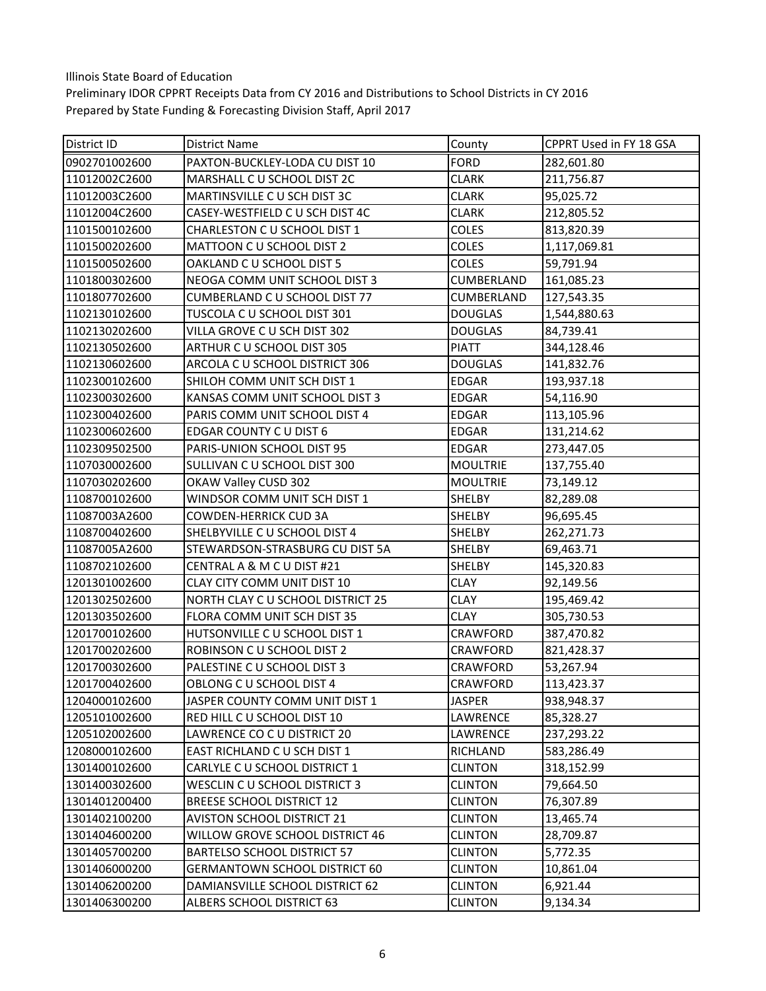| District ID   | <b>District Name</b>                 | County            | CPPRT Used in FY 18 GSA |
|---------------|--------------------------------------|-------------------|-------------------------|
| 0902701002600 | PAXTON-BUCKLEY-LODA CU DIST 10       | <b>FORD</b>       | 282,601.80              |
| 11012002C2600 | MARSHALL C U SCHOOL DIST 2C          | <b>CLARK</b>      | 211,756.87              |
| 11012003C2600 | MARTINSVILLE C U SCH DIST 3C         | <b>CLARK</b>      | 95,025.72               |
| 11012004C2600 | CASEY-WESTFIELD C U SCH DIST 4C      | <b>CLARK</b>      | 212,805.52              |
| 1101500102600 | CHARLESTON C U SCHOOL DIST 1         | COLES             | 813,820.39              |
| 1101500202600 | MATTOON C U SCHOOL DIST 2            | <b>COLES</b>      | 1,117,069.81            |
| 1101500502600 | OAKLAND C U SCHOOL DIST 5            | <b>COLES</b>      | 59,791.94               |
| 1101800302600 | NEOGA COMM UNIT SCHOOL DIST 3        | CUMBERLAND        | 161,085.23              |
| 1101807702600 | CUMBERLAND C U SCHOOL DIST 77        | <b>CUMBERLAND</b> | 127,543.35              |
| 1102130102600 | TUSCOLA C U SCHOOL DIST 301          | <b>DOUGLAS</b>    | 1,544,880.63            |
| 1102130202600 | VILLA GROVE CU SCH DIST 302          | <b>DOUGLAS</b>    | 84,739.41               |
| 1102130502600 | ARTHUR C U SCHOOL DIST 305           | <b>PIATT</b>      | 344,128.46              |
| 1102130602600 | ARCOLA C U SCHOOL DISTRICT 306       | <b>DOUGLAS</b>    | 141,832.76              |
| 1102300102600 | SHILOH COMM UNIT SCH DIST 1          | <b>EDGAR</b>      | 193,937.18              |
| 1102300302600 | KANSAS COMM UNIT SCHOOL DIST 3       | <b>EDGAR</b>      | 54,116.90               |
| 1102300402600 | PARIS COMM UNIT SCHOOL DIST 4        | EDGAR             | 113,105.96              |
| 1102300602600 | EDGAR COUNTY CU DIST 6               | <b>EDGAR</b>      | 131,214.62              |
| 1102309502500 | PARIS-UNION SCHOOL DIST 95           | <b>EDGAR</b>      | 273,447.05              |
| 1107030002600 | SULLIVAN C U SCHOOL DIST 300         | <b>MOULTRIE</b>   | 137,755.40              |
| 1107030202600 | OKAW Valley CUSD 302                 | <b>MOULTRIE</b>   | 73,149.12               |
| 1108700102600 | WINDSOR COMM UNIT SCH DIST 1         | SHELBY            | 82,289.08               |
| 11087003A2600 | <b>COWDEN-HERRICK CUD 3A</b>         | SHELBY            | 96,695.45               |
| 1108700402600 | SHELBYVILLE C U SCHOOL DIST 4        | SHELBY            | 262,271.73              |
| 11087005A2600 | STEWARDSON-STRASBURG CU DIST 5A      | SHELBY            | 69,463.71               |
| 1108702102600 | CENTRAL A & M C U DIST #21           | SHELBY            | 145,320.83              |
| 1201301002600 | CLAY CITY COMM UNIT DIST 10          | <b>CLAY</b>       | 92,149.56               |
| 1201302502600 | NORTH CLAY C U SCHOOL DISTRICT 25    | <b>CLAY</b>       | 195,469.42              |
| 1201303502600 | FLORA COMM UNIT SCH DIST 35          | <b>CLAY</b>       | 305,730.53              |
| 1201700102600 | HUTSONVILLE C U SCHOOL DIST 1        | CRAWFORD          | 387,470.82              |
| 1201700202600 | ROBINSON C U SCHOOL DIST 2           | CRAWFORD          | 821,428.37              |
| 1201700302600 | PALESTINE C U SCHOOL DIST 3          | <b>CRAWFORD</b>   | 53,267.94               |
| 1201700402600 | OBLONG C U SCHOOL DIST 4             | <b>CRAWFORD</b>   | 113,423.37              |
| 1204000102600 | JASPER COUNTY COMM UNIT DIST 1       | <b>JASPER</b>     | 938,948.37              |
| 1205101002600 | RED HILL C U SCHOOL DIST 10          | LAWRENCE          | 85,328.27               |
| 1205102002600 | LAWRENCE CO C U DISTRICT 20          | LAWRENCE          | 237,293.22              |
| 1208000102600 | EAST RICHLAND C U SCH DIST 1         | RICHLAND          | 583,286.49              |
| 1301400102600 | CARLYLE C U SCHOOL DISTRICT 1        | <b>CLINTON</b>    | 318,152.99              |
| 1301400302600 | WESCLIN C U SCHOOL DISTRICT 3        | <b>CLINTON</b>    | 79,664.50               |
| 1301401200400 | <b>BREESE SCHOOL DISTRICT 12</b>     | <b>CLINTON</b>    | 76,307.89               |
| 1301402100200 | <b>AVISTON SCHOOL DISTRICT 21</b>    | <b>CLINTON</b>    | 13,465.74               |
| 1301404600200 | WILLOW GROVE SCHOOL DISTRICT 46      | <b>CLINTON</b>    | 28,709.87               |
| 1301405700200 | <b>BARTELSO SCHOOL DISTRICT 57</b>   | <b>CLINTON</b>    | 5,772.35                |
| 1301406000200 | <b>GERMANTOWN SCHOOL DISTRICT 60</b> | <b>CLINTON</b>    | 10,861.04               |
| 1301406200200 | DAMIANSVILLE SCHOOL DISTRICT 62      | <b>CLINTON</b>    | 6,921.44                |
| 1301406300200 | ALBERS SCHOOL DISTRICT 63            | <b>CLINTON</b>    | 9,134.34                |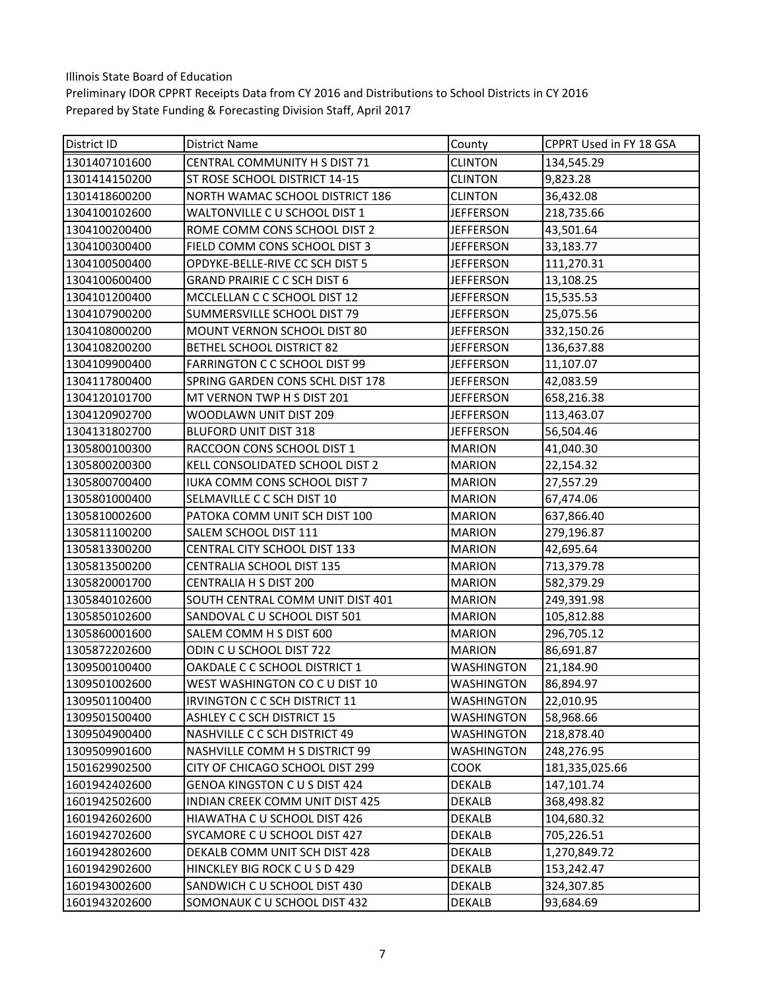| <b>District ID</b> | <b>District Name</b>                 | County            | CPPRT Used in FY 18 GSA |
|--------------------|--------------------------------------|-------------------|-------------------------|
| 1301407101600      | CENTRAL COMMUNITY H S DIST 71        | <b>CLINTON</b>    | 134,545.29              |
| 1301414150200      | ST ROSE SCHOOL DISTRICT 14-15        | <b>CLINTON</b>    | 9,823.28                |
| 1301418600200      | NORTH WAMAC SCHOOL DISTRICT 186      | <b>CLINTON</b>    | 36,432.08               |
| 1304100102600      | WALTONVILLE C U SCHOOL DIST 1        | <b>JEFFERSON</b>  | 218,735.66              |
| 1304100200400      | ROME COMM CONS SCHOOL DIST 2         | <b>JEFFERSON</b>  | 43,501.64               |
| 1304100300400      | FIELD COMM CONS SCHOOL DIST 3        | <b>JEFFERSON</b>  | 33,183.77               |
| 1304100500400      | OPDYKE-BELLE-RIVE CC SCH DIST 5      | <b>JEFFERSON</b>  | 111,270.31              |
| 1304100600400      | <b>GRAND PRAIRIE C C SCH DIST 6</b>  | <b>JEFFERSON</b>  | 13,108.25               |
| 1304101200400      | MCCLELLAN C C SCHOOL DIST 12         | <b>JEFFERSON</b>  | 15,535.53               |
| 1304107900200      | SUMMERSVILLE SCHOOL DIST 79          | <b>JEFFERSON</b>  | 25,075.56               |
| 1304108000200      | MOUNT VERNON SCHOOL DIST 80          | <b>JEFFERSON</b>  | 332,150.26              |
| 1304108200200      | BETHEL SCHOOL DISTRICT 82            | <b>JEFFERSON</b>  | 136,637.88              |
| 1304109900400      | FARRINGTON C C SCHOOL DIST 99        | <b>JEFFERSON</b>  | 11,107.07               |
| 1304117800400      | SPRING GARDEN CONS SCHL DIST 178     | <b>JEFFERSON</b>  | 42,083.59               |
| 1304120101700      | MT VERNON TWP H S DIST 201           | <b>JEFFERSON</b>  | 658,216.38              |
| 1304120902700      | WOODLAWN UNIT DIST 209               | <b>JEFFERSON</b>  | 113,463.07              |
| 1304131802700      | <b>BLUFORD UNIT DIST 318</b>         | <b>JEFFERSON</b>  | 56,504.46               |
| 1305800100300      | RACCOON CONS SCHOOL DIST 1           | <b>MARION</b>     | 41,040.30               |
| 1305800200300      | KELL CONSOLIDATED SCHOOL DIST 2      | <b>MARION</b>     | 22,154.32               |
| 1305800700400      | IUKA COMM CONS SCHOOL DIST 7         | <b>MARION</b>     | 27,557.29               |
| 1305801000400      | SELMAVILLE C C SCH DIST 10           | <b>MARION</b>     | 67,474.06               |
| 1305810002600      | PATOKA COMM UNIT SCH DIST 100        | <b>MARION</b>     | 637,866.40              |
| 1305811100200      | SALEM SCHOOL DIST 111                | <b>MARION</b>     | 279,196.87              |
| 1305813300200      | CENTRAL CITY SCHOOL DIST 133         | <b>MARION</b>     | 42,695.64               |
| 1305813500200      | CENTRALIA SCHOOL DIST 135            | <b>MARION</b>     | 713,379.78              |
| 1305820001700      | <b>CENTRALIA H S DIST 200</b>        | <b>MARION</b>     | 582,379.29              |
| 1305840102600      | SOUTH CENTRAL COMM UNIT DIST 401     | <b>MARION</b>     | 249,391.98              |
| 1305850102600      | SANDOVAL C U SCHOOL DIST 501         | <b>MARION</b>     | 105,812.88              |
| 1305860001600      | SALEM COMM H S DIST 600              | <b>MARION</b>     | 296,705.12              |
| 1305872202600      | ODIN CU SCHOOL DIST 722              | <b>MARION</b>     | 86,691.87               |
| 1309500100400      | OAKDALE C C SCHOOL DISTRICT 1        | <b>WASHINGTON</b> | 21,184.90               |
| 1309501002600      | WEST WASHINGTON CO C U DIST 10       | <b>WASHINGTON</b> | 86,894.97               |
| 1309501100400      | <b>IRVINGTON C C SCH DISTRICT 11</b> | <b>WASHINGTON</b> | 22,010.95               |
| 1309501500400      | <b>ASHLEY C C SCH DISTRICT 15</b>    | <b>WASHINGTON</b> | 58,968.66               |
| 1309504900400      | NASHVILLE C C SCH DISTRICT 49        | <b>WASHINGTON</b> | 218,878.40              |
| 1309509901600      | NASHVILLE COMM H S DISTRICT 99       | <b>WASHINGTON</b> | 248,276.95              |
| 1501629902500      | CITY OF CHICAGO SCHOOL DIST 299      | соок              | 181,335,025.66          |
| 1601942402600      | <b>GENOA KINGSTON C U S DIST 424</b> | <b>DEKALB</b>     | 147,101.74              |
| 1601942502600      | INDIAN CREEK COMM UNIT DIST 425      | <b>DEKALB</b>     | 368,498.82              |
| 1601942602600      | HIAWATHA C U SCHOOL DIST 426         | DEKALB            | 104,680.32              |
| 1601942702600      | SYCAMORE C U SCHOOL DIST 427         | DEKALB            | 705,226.51              |
| 1601942802600      | DEKALB COMM UNIT SCH DIST 428        | DEKALB            | 1,270,849.72            |
| 1601942902600      | HINCKLEY BIG ROCK C U S D 429        | DEKALB            | 153,242.47              |
| 1601943002600      | SANDWICH C U SCHOOL DIST 430         | DEKALB            | 324,307.85              |
| 1601943202600      | SOMONAUK C U SCHOOL DIST 432         | DEKALB            | 93,684.69               |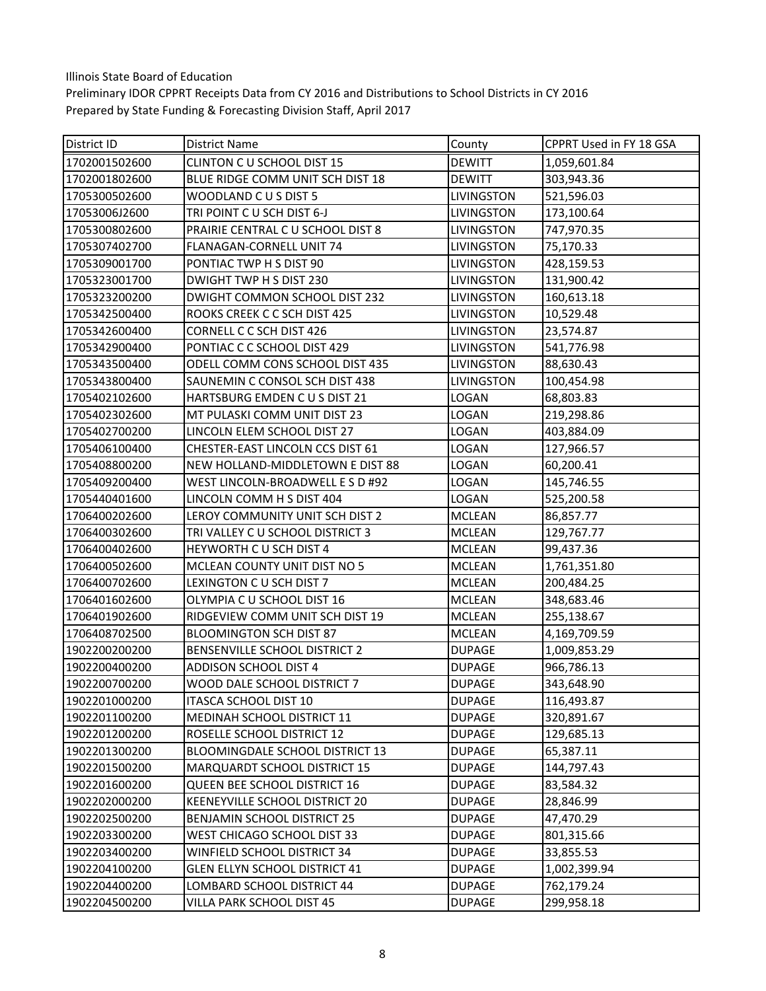| District ID   | District Name                          | County            | CPPRT Used in FY 18 GSA |
|---------------|----------------------------------------|-------------------|-------------------------|
| 1702001502600 | <b>CLINTON C U SCHOOL DIST 15</b>      | <b>DEWITT</b>     | 1,059,601.84            |
| 1702001802600 | BLUE RIDGE COMM UNIT SCH DIST 18       | <b>DEWITT</b>     | 303,943.36              |
| 1705300502600 | WOODLAND CUS DIST 5                    | LIVINGSTON        | 521,596.03              |
| 17053006J2600 | TRI POINT CU SCH DIST 6-J              | <b>LIVINGSTON</b> | 173,100.64              |
| 1705300802600 | PRAIRIE CENTRAL C U SCHOOL DIST 8      | LIVINGSTON        | 747,970.35              |
| 1705307402700 | FLANAGAN-CORNELL UNIT 74               | <b>LIVINGSTON</b> | 75,170.33               |
| 1705309001700 | PONTIAC TWP H S DIST 90                | LIVINGSTON        | 428,159.53              |
| 1705323001700 | DWIGHT TWP H S DIST 230                | LIVINGSTON        | 131,900.42              |
| 1705323200200 | DWIGHT COMMON SCHOOL DIST 232          | LIVINGSTON        | 160,613.18              |
| 1705342500400 | ROOKS CREEK C C SCH DIST 425           | LIVINGSTON        | 10,529.48               |
| 1705342600400 | CORNELL C C SCH DIST 426               | LIVINGSTON        | 23,574.87               |
| 1705342900400 | PONTIAC C C SCHOOL DIST 429            | LIVINGSTON        | 541,776.98              |
| 1705343500400 | ODELL COMM CONS SCHOOL DIST 435        | <b>LIVINGSTON</b> | 88,630.43               |
| 1705343800400 | SAUNEMIN C CONSOL SCH DIST 438         | LIVINGSTON        | 100,454.98              |
| 1705402102600 | HARTSBURG EMDEN C U S DIST 21          | LOGAN             | 68,803.83               |
| 1705402302600 | MT PULASKI COMM UNIT DIST 23           | LOGAN             | 219,298.86              |
| 1705402700200 | LINCOLN ELEM SCHOOL DIST 27            | LOGAN             | 403,884.09              |
| 1705406100400 | CHESTER-EAST LINCOLN CCS DIST 61       | LOGAN             | 127,966.57              |
| 1705408800200 | NEW HOLLAND-MIDDLETOWN E DIST 88       | LOGAN             | 60,200.41               |
| 1705409200400 | WEST LINCOLN-BROADWELL E S D #92       | LOGAN             | 145,746.55              |
| 1705440401600 | LINCOLN COMM H S DIST 404              | LOGAN             | 525,200.58              |
| 1706400202600 | LEROY COMMUNITY UNIT SCH DIST 2        | <b>MCLEAN</b>     | 86,857.77               |
| 1706400302600 | TRI VALLEY C U SCHOOL DISTRICT 3       | <b>MCLEAN</b>     | 129,767.77              |
| 1706400402600 | HEYWORTH C U SCH DIST 4                | <b>MCLEAN</b>     | 99,437.36               |
| 1706400502600 | MCLEAN COUNTY UNIT DIST NO 5           | <b>MCLEAN</b>     | 1,761,351.80            |
| 1706400702600 | LEXINGTON CU SCH DIST 7                | <b>MCLEAN</b>     | 200,484.25              |
| 1706401602600 | OLYMPIA CU SCHOOL DIST 16              | <b>MCLEAN</b>     | 348,683.46              |
| 1706401902600 | RIDGEVIEW COMM UNIT SCH DIST 19        | <b>MCLEAN</b>     | 255,138.67              |
| 1706408702500 | BLOOMINGTON SCH DIST 87                | <b>MCLEAN</b>     | 4,169,709.59            |
| 1902200200200 | BENSENVILLE SCHOOL DISTRICT 2          | <b>DUPAGE</b>     | 1,009,853.29            |
| 1902200400200 | <b>ADDISON SCHOOL DIST 4</b>           | <b>DUPAGE</b>     | 966,786.13              |
| 1902200700200 | WOOD DALE SCHOOL DISTRICT 7            | <b>DUPAGE</b>     | 343,648.90              |
| 1902201000200 | ITASCA SCHOOL DIST 10                  | <b>DUPAGE</b>     | 116,493.87              |
| 1902201100200 | MEDINAH SCHOOL DISTRICT 11             | <b>DUPAGE</b>     | 320,891.67              |
| 1902201200200 | ROSELLE SCHOOL DISTRICT 12             | <b>DUPAGE</b>     | 129,685.13              |
| 1902201300200 | <b>BLOOMINGDALE SCHOOL DISTRICT 13</b> | <b>DUPAGE</b>     | 65,387.11               |
| 1902201500200 | <b>MARQUARDT SCHOOL DISTRICT 15</b>    | <b>DUPAGE</b>     | 144,797.43              |
| 1902201600200 | QUEEN BEE SCHOOL DISTRICT 16           | <b>DUPAGE</b>     | 83,584.32               |
| 1902202000200 | KEENEYVILLE SCHOOL DISTRICT 20         | <b>DUPAGE</b>     | 28,846.99               |
| 1902202500200 | <b>BENJAMIN SCHOOL DISTRICT 25</b>     | <b>DUPAGE</b>     | 47,470.29               |
| 1902203300200 | WEST CHICAGO SCHOOL DIST 33            | <b>DUPAGE</b>     | 801,315.66              |
| 1902203400200 | WINFIELD SCHOOL DISTRICT 34            | <b>DUPAGE</b>     | 33,855.53               |
| 1902204100200 | <b>GLEN ELLYN SCHOOL DISTRICT 41</b>   | <b>DUPAGE</b>     | 1,002,399.94            |
| 1902204400200 | LOMBARD SCHOOL DISTRICT 44             | <b>DUPAGE</b>     | 762,179.24              |
| 1902204500200 | VILLA PARK SCHOOL DIST 45              | <b>DUPAGE</b>     | 299,958.18              |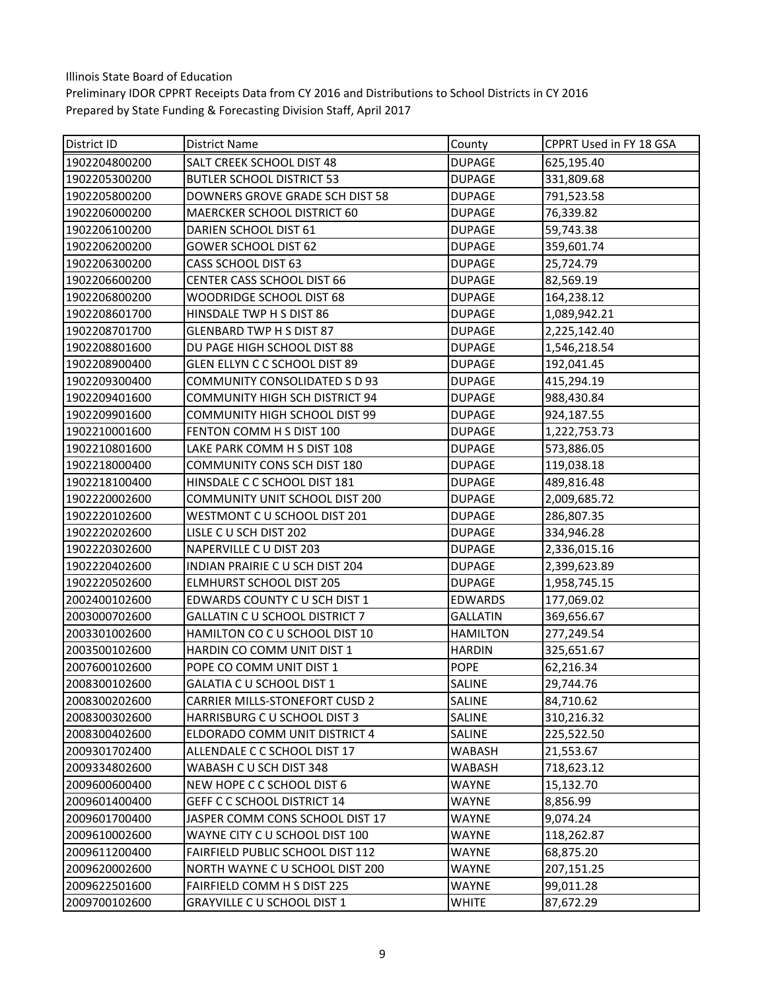| District ID   | District Name                         | County          | CPPRT Used in FY 18 GSA |
|---------------|---------------------------------------|-----------------|-------------------------|
| 1902204800200 | SALT CREEK SCHOOL DIST 48             | <b>DUPAGE</b>   | 625,195.40              |
| 1902205300200 | <b>BUTLER SCHOOL DISTRICT 53</b>      | <b>DUPAGE</b>   | 331,809.68              |
| 1902205800200 | DOWNERS GROVE GRADE SCH DIST 58       | <b>DUPAGE</b>   | 791,523.58              |
| 1902206000200 | MAERCKER SCHOOL DISTRICT 60           | <b>DUPAGE</b>   | 76,339.82               |
| 1902206100200 | DARIEN SCHOOL DIST 61                 | <b>DUPAGE</b>   | 59,743.38               |
| 1902206200200 | <b>GOWER SCHOOL DIST 62</b>           | <b>DUPAGE</b>   | 359,601.74              |
| 1902206300200 | CASS SCHOOL DIST 63                   | <b>DUPAGE</b>   | 25,724.79               |
| 1902206600200 | <b>CENTER CASS SCHOOL DIST 66</b>     | <b>DUPAGE</b>   | 82,569.19               |
| 1902206800200 | WOODRIDGE SCHOOL DIST 68              | <b>DUPAGE</b>   | 164,238.12              |
| 1902208601700 | HINSDALE TWP H S DIST 86              | <b>DUPAGE</b>   | 1,089,942.21            |
| 1902208701700 | <b>GLENBARD TWP H S DIST 87</b>       | <b>DUPAGE</b>   | 2,225,142.40            |
| 1902208801600 | DU PAGE HIGH SCHOOL DIST 88           | <b>DUPAGE</b>   | 1,546,218.54            |
| 1902208900400 | GLEN ELLYN C C SCHOOL DIST 89         | <b>DUPAGE</b>   | 192,041.45              |
| 1902209300400 | <b>COMMUNITY CONSOLIDATED S D 93</b>  | <b>DUPAGE</b>   | 415,294.19              |
| 1902209401600 | <b>COMMUNITY HIGH SCH DISTRICT 94</b> | <b>DUPAGE</b>   | 988,430.84              |
| 1902209901600 | COMMUNITY HIGH SCHOOL DIST 99         | <b>DUPAGE</b>   | 924,187.55              |
| 1902210001600 | FENTON COMM H S DIST 100              | <b>DUPAGE</b>   | 1,222,753.73            |
| 1902210801600 | LAKE PARK COMM H S DIST 108           | <b>DUPAGE</b>   | 573,886.05              |
| 1902218000400 | <b>COMMUNITY CONS SCH DIST 180</b>    | <b>DUPAGE</b>   | 119,038.18              |
| 1902218100400 | HINSDALE C C SCHOOL DIST 181          | <b>DUPAGE</b>   | 489,816.48              |
| 1902220002600 | COMMUNITY UNIT SCHOOL DIST 200        | <b>DUPAGE</b>   | 2,009,685.72            |
| 1902220102600 | WESTMONT C U SCHOOL DIST 201          | <b>DUPAGE</b>   | 286,807.35              |
| 1902220202600 | LISLE CU SCH DIST 202                 | <b>DUPAGE</b>   | 334,946.28              |
| 1902220302600 | NAPERVILLE C U DIST 203               | <b>DUPAGE</b>   | 2,336,015.16            |
| 1902220402600 | INDIAN PRAIRIE C U SCH DIST 204       | <b>DUPAGE</b>   | 2,399,623.89            |
| 1902220502600 | ELMHURST SCHOOL DIST 205              | <b>DUPAGE</b>   | 1,958,745.15            |
| 2002400102600 | EDWARDS COUNTY CU SCH DIST 1          | EDWARDS         | 177,069.02              |
| 2003000702600 | GALLATIN C U SCHOOL DISTRICT 7        | <b>GALLATIN</b> | 369,656.67              |
| 2003301002600 | HAMILTON CO C U SCHOOL DIST 10        | <b>HAMILTON</b> | 277,249.54              |
| 2003500102600 | HARDIN CO COMM UNIT DIST 1            | <b>HARDIN</b>   | 325,651.67              |
| 2007600102600 | POPE CO COMM UNIT DIST 1              | <b>POPE</b>     | 62,216.34               |
| 2008300102600 | <b>GALATIA C U SCHOOL DIST 1</b>      | <b>SALINE</b>   | 29,744.76               |
| 2008300202600 | <b>CARRIER MILLS-STONEFORT CUSD 2</b> | SALINE          | 84,710.62               |
| 2008300302600 | HARRISBURG C U SCHOOL DIST 3          | SALINE          | 310,216.32              |
| 2008300402600 | ELDORADO COMM UNIT DISTRICT 4         | SALINE          | 225,522.50              |
| 2009301702400 | ALLENDALE C C SCHOOL DIST 17          | <b>WABASH</b>   | 21,553.67               |
| 2009334802600 | WABASH C U SCH DIST 348               | WABASH          | 718,623.12              |
| 2009600600400 | NEW HOPE C C SCHOOL DIST 6            | <b>WAYNE</b>    | 15,132.70               |
| 2009601400400 | GEFF C C SCHOOL DISTRICT 14           | WAYNE           | 8,856.99                |
| 2009601700400 | JASPER COMM CONS SCHOOL DIST 17       | <b>WAYNE</b>    | 9,074.24                |
| 2009610002600 | WAYNE CITY C U SCHOOL DIST 100        | WAYNE           | 118,262.87              |
| 2009611200400 | FAIRFIELD PUBLIC SCHOOL DIST 112      | WAYNE           | 68,875.20               |
| 2009620002600 | NORTH WAYNE C U SCHOOL DIST 200       | WAYNE           | 207,151.25              |
| 2009622501600 | FAIRFIELD COMM H S DIST 225           | WAYNE           | 99,011.28               |
| 2009700102600 | <b>GRAYVILLE C U SCHOOL DIST 1</b>    | <b>WHITE</b>    | 87,672.29               |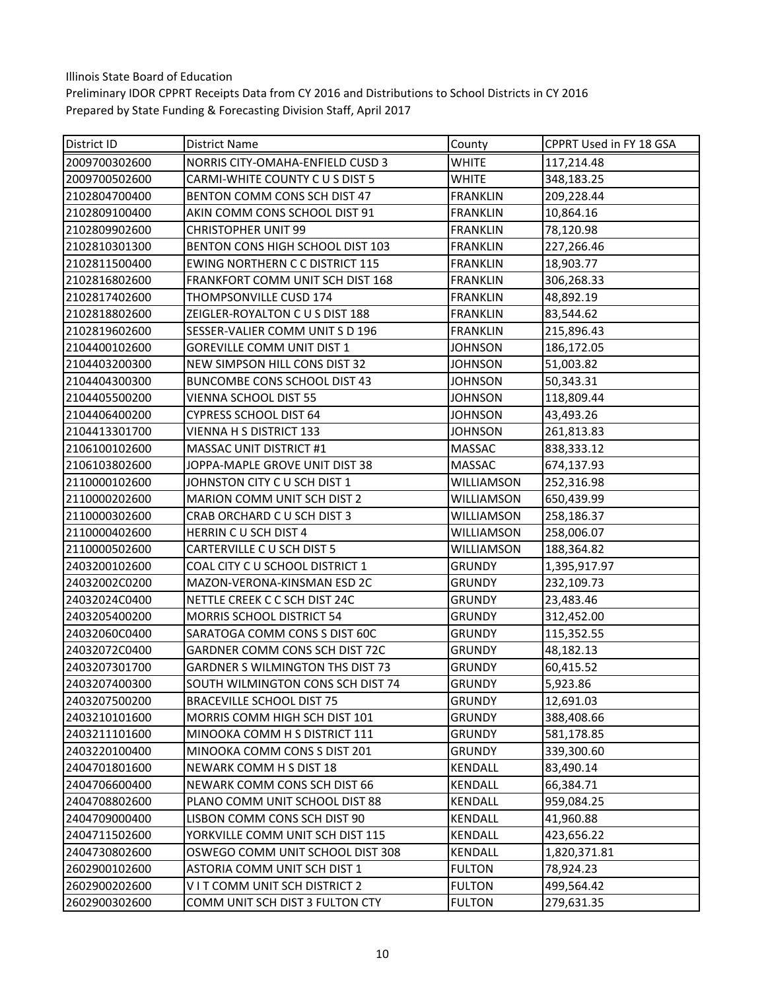| <b>District ID</b> | <b>District Name</b>                    | County          | CPPRT Used in FY 18 GSA |
|--------------------|-----------------------------------------|-----------------|-------------------------|
| 2009700302600      | NORRIS CITY-OMAHA-ENFIELD CUSD 3        | WHITE           | 117,214.48              |
| 2009700502600      | CARMI-WHITE COUNTY C U S DIST 5         | WHITE           | 348,183.25              |
| 2102804700400      | BENTON COMM CONS SCH DIST 47            | <b>FRANKLIN</b> | 209,228.44              |
| 2102809100400      | AKIN COMM CONS SCHOOL DIST 91           | FRANKLIN        | 10,864.16               |
| 2102809902600      | <b>CHRISTOPHER UNIT 99</b>              | <b>FRANKLIN</b> | 78,120.98               |
| 2102810301300      | BENTON CONS HIGH SCHOOL DIST 103        | <b>FRANKLIN</b> | 227,266.46              |
| 2102811500400      | <b>EWING NORTHERN C C DISTRICT 115</b>  | <b>FRANKLIN</b> | 18,903.77               |
| 2102816802600      | FRANKFORT COMM UNIT SCH DIST 168        | <b>FRANKLIN</b> | 306,268.33              |
| 2102817402600      | THOMPSONVILLE CUSD 174                  | <b>FRANKLIN</b> | 48,892.19               |
| 2102818802600      | ZEIGLER-ROYALTON C U S DIST 188         | <b>FRANKLIN</b> | 83,544.62               |
| 2102819602600      | SESSER-VALIER COMM UNIT S D 196         | <b>FRANKLIN</b> | 215,896.43              |
| 2104400102600      | <b>GOREVILLE COMM UNIT DIST 1</b>       | JOHNSON         | 186,172.05              |
| 2104403200300      | NEW SIMPSON HILL CONS DIST 32           | <b>JOHNSON</b>  | 51,003.82               |
| 2104404300300      | BUNCOMBE CONS SCHOOL DIST 43            | <b>JOHNSON</b>  | 50,343.31               |
| 2104405500200      | VIENNA SCHOOL DIST 55                   | <b>JOHNSON</b>  | 118,809.44              |
| 2104406400200      | CYPRESS SCHOOL DIST 64                  | <b>JOHNSON</b>  | 43,493.26               |
| 2104413301700      | VIENNA H S DISTRICT 133                 | <b>JOHNSON</b>  | 261,813.83              |
| 2106100102600      | <b>MASSAC UNIT DISTRICT #1</b>          | <b>MASSAC</b>   | 838,333.12              |
| 2106103802600      | JOPPA-MAPLE GROVE UNIT DIST 38          | <b>MASSAC</b>   | 674,137.93              |
| 2110000102600      | JOHNSTON CITY C U SCH DIST 1            | WILLIAMSON      | 252,316.98              |
| 2110000202600      | MARION COMM UNIT SCH DIST 2             | WILLIAMSON      | 650,439.99              |
| 2110000302600      | CRAB ORCHARD C U SCH DIST 3             | WILLIAMSON      | 258,186.37              |
| 2110000402600      | <b>HERRIN C U SCH DIST 4</b>            | WILLIAMSON      | 258,006.07              |
| 2110000502600      | CARTERVILLE C U SCH DIST 5              | WILLIAMSON      | 188,364.82              |
| 2403200102600      | COAL CITY C U SCHOOL DISTRICT 1         | <b>GRUNDY</b>   | 1,395,917.97            |
| 24032002C0200      | MAZON-VERONA-KINSMAN ESD 2C             | <b>GRUNDY</b>   | 232,109.73              |
| 24032024C0400      | NETTLE CREEK C C SCH DIST 24C           | <b>GRUNDY</b>   | 23,483.46               |
| 2403205400200      | <b>MORRIS SCHOOL DISTRICT 54</b>        | <b>GRUNDY</b>   | 312,452.00              |
| 24032060C0400      | SARATOGA COMM CONS S DIST 60C           | <b>GRUNDY</b>   | 115,352.55              |
| 24032072C0400      | GARDNER COMM CONS SCH DIST 72C          | <b>GRUNDY</b>   | 48,182.13               |
| 2403207301700      | <b>GARDNER S WILMINGTON THS DIST 73</b> | <b>GRUNDY</b>   | 60,415.52               |
| 2403207400300      | SOUTH WILMINGTON CONS SCH DIST 74       | <b>GRUNDY</b>   | 5,923.86                |
| 2403207500200      | <b>BRACEVILLE SCHOOL DIST 75</b>        | <b>GRUNDY</b>   | 12,691.03               |
| 2403210101600      | <b>MORRIS COMM HIGH SCH DIST 101</b>    | <b>GRUNDY</b>   | 388,408.66              |
| 2403211101600      | MINOOKA COMM H S DISTRICT 111           | <b>GRUNDY</b>   | 581,178.85              |
| 2403220100400      | MINOOKA COMM CONS S DIST 201            | <b>GRUNDY</b>   | 339,300.60              |
| 2404701801600      | NEWARK COMM H S DIST 18                 | KENDALL         | 83,490.14               |
| 2404706600400      | NEWARK COMM CONS SCH DIST 66            | KENDALL         | 66,384.71               |
| 2404708802600      | PLANO COMM UNIT SCHOOL DIST 88          | <b>KENDALL</b>  | 959,084.25              |
| 2404709000400      | LISBON COMM CONS SCH DIST 90            | <b>KENDALL</b>  | 41,960.88               |
| 2404711502600      | YORKVILLE COMM UNIT SCH DIST 115        | KENDALL         | 423,656.22              |
| 2404730802600      | OSWEGO COMM UNIT SCHOOL DIST 308        | KENDALL         | 1,820,371.81            |
| 2602900102600      | ASTORIA COMM UNIT SCH DIST 1            | <b>FULTON</b>   | 78,924.23               |
| 2602900202600      | VIT COMM UNIT SCH DISTRICT 2            | <b>FULTON</b>   | 499,564.42              |
| 2602900302600      | COMM UNIT SCH DIST 3 FULTON CTY         | <b>FULTON</b>   | 279,631.35              |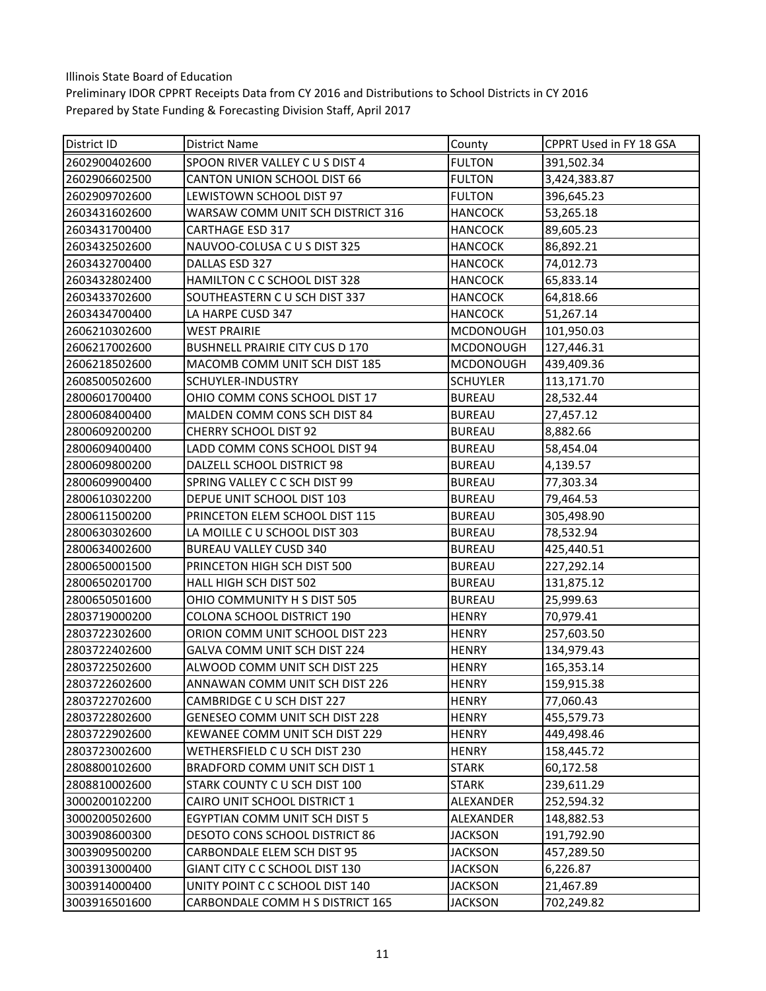| District ID   | District Name                          | County           | CPPRT Used in FY 18 GSA |
|---------------|----------------------------------------|------------------|-------------------------|
| 2602900402600 | SPOON RIVER VALLEY C U S DIST 4        | <b>FULTON</b>    | 391,502.34              |
| 2602906602500 | <b>CANTON UNION SCHOOL DIST 66</b>     | <b>FULTON</b>    | 3,424,383.87            |
| 2602909702600 | LEWISTOWN SCHOOL DIST 97               | <b>FULTON</b>    | 396,645.23              |
| 2603431602600 | WARSAW COMM UNIT SCH DISTRICT 316      | <b>HANCOCK</b>   | 53,265.18               |
| 2603431700400 | <b>CARTHAGE ESD 317</b>                | <b>HANCOCK</b>   | 89,605.23               |
| 2603432502600 | NAUVOO-COLUSA C U S DIST 325           | <b>HANCOCK</b>   | 86,892.21               |
| 2603432700400 | DALLAS ESD 327                         | <b>HANCOCK</b>   | 74,012.73               |
| 2603432802400 | HAMILTON C C SCHOOL DIST 328           | <b>HANCOCK</b>   | 65,833.14               |
| 2603433702600 | SOUTHEASTERN C U SCH DIST 337          | <b>HANCOCK</b>   | 64,818.66               |
| 2603434700400 | LA HARPE CUSD 347                      | <b>HANCOCK</b>   | 51,267.14               |
| 2606210302600 | <b>WEST PRAIRIE</b>                    | <b>MCDONOUGH</b> | 101,950.03              |
| 2606217002600 | <b>BUSHNELL PRAIRIE CITY CUS D 170</b> | <b>MCDONOUGH</b> | 127,446.31              |
| 2606218502600 | MACOMB COMM UNIT SCH DIST 185          | <b>MCDONOUGH</b> | 439,409.36              |
| 2608500502600 | SCHUYLER-INDUSTRY                      | <b>SCHUYLER</b>  | 113,171.70              |
| 2800601700400 | OHIO COMM CONS SCHOOL DIST 17          | <b>BUREAU</b>    | 28,532.44               |
| 2800608400400 | MALDEN COMM CONS SCH DIST 84           | <b>BUREAU</b>    | 27,457.12               |
| 2800609200200 | <b>CHERRY SCHOOL DIST 92</b>           | <b>BUREAU</b>    | 8,882.66                |
| 2800609400400 | LADD COMM CONS SCHOOL DIST 94          | <b>BUREAU</b>    | 58,454.04               |
| 2800609800200 | DALZELL SCHOOL DISTRICT 98             | <b>BUREAU</b>    | 4,139.57                |
| 2800609900400 | SPRING VALLEY C C SCH DIST 99          | <b>BUREAU</b>    | 77,303.34               |
| 2800610302200 | DEPUE UNIT SCHOOL DIST 103             | <b>BUREAU</b>    | 79,464.53               |
| 2800611500200 | PRINCETON ELEM SCHOOL DIST 115         | <b>BUREAU</b>    | 305,498.90              |
| 2800630302600 | LA MOILLE C U SCHOOL DIST 303          | <b>BUREAU</b>    | 78,532.94               |
| 2800634002600 | <b>BUREAU VALLEY CUSD 340</b>          | <b>BUREAU</b>    | 425,440.51              |
| 2800650001500 | PRINCETON HIGH SCH DIST 500            | <b>BUREAU</b>    | 227,292.14              |
| 2800650201700 | HALL HIGH SCH DIST 502                 | <b>BUREAU</b>    | 131,875.12              |
| 2800650501600 | OHIO COMMUNITY H S DIST 505            | <b>BUREAU</b>    | 25,999.63               |
| 2803719000200 | COLONA SCHOOL DISTRICT 190             | <b>HENRY</b>     | 70,979.41               |
| 2803722302600 | ORION COMM UNIT SCHOOL DIST 223        | <b>HENRY</b>     | 257,603.50              |
| 2803722402600 | GALVA COMM UNIT SCH DIST 224           | <b>HENRY</b>     | 134,979.43              |
| 2803722502600 | ALWOOD COMM UNIT SCH DIST 225          | <b>HENRY</b>     | 165,353.14              |
| 2803722602600 | ANNAWAN COMM UNIT SCH DIST 226         | <b>HENRY</b>     | 159,915.38              |
| 2803722702600 | CAMBRIDGE C U SCH DIST 227             | <b>HENRY</b>     | 77,060.43               |
| 2803722802600 | <b>GENESEO COMM UNIT SCH DIST 228</b>  | <b>HENRY</b>     | 455,579.73              |
| 2803722902600 | KEWANEE COMM UNIT SCH DIST 229         | <b>HENRY</b>     | 449,498.46              |
| 2803723002600 | WETHERSFIELD C U SCH DIST 230          | <b>HENRY</b>     | 158,445.72              |
| 2808800102600 | BRADFORD COMM UNIT SCH DIST 1          | STARK            | 60,172.58               |
| 2808810002600 | STARK COUNTY C U SCH DIST 100          | <b>STARK</b>     | 239,611.29              |
| 3000200102200 | CAIRO UNIT SCHOOL DISTRICT 1           | ALEXANDER        | 252,594.32              |
| 3000200502600 | EGYPTIAN COMM UNIT SCH DIST 5          | ALEXANDER        | 148,882.53              |
| 3003908600300 | DESOTO CONS SCHOOL DISTRICT 86         | <b>JACKSON</b>   | 191,792.90              |
| 3003909500200 | CARBONDALE ELEM SCH DIST 95            | <b>JACKSON</b>   | 457,289.50              |
| 3003913000400 | GIANT CITY C C SCHOOL DIST 130         | <b>JACKSON</b>   | 6,226.87                |
| 3003914000400 | UNITY POINT C C SCHOOL DIST 140        | <b>JACKSON</b>   | 21,467.89               |
| 3003916501600 | CARBONDALE COMM H S DISTRICT 165       | <b>JACKSON</b>   | 702,249.82              |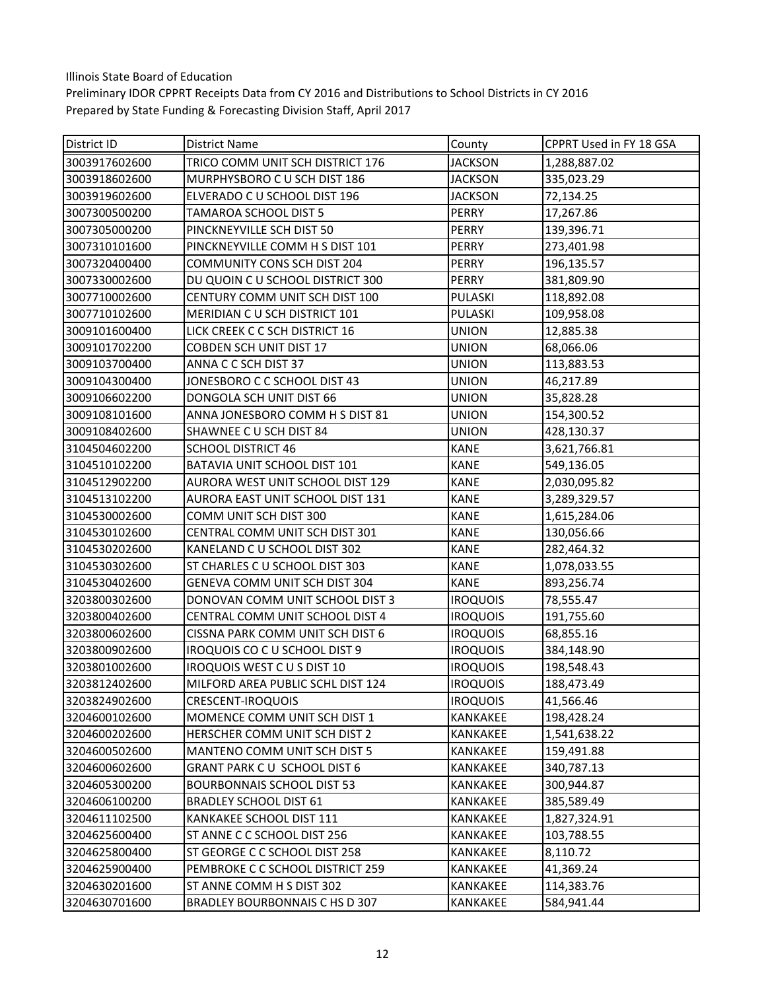| <b>District ID</b> | <b>District Name</b>               | County          | CPPRT Used in FY 18 GSA |
|--------------------|------------------------------------|-----------------|-------------------------|
| 3003917602600      | TRICO COMM UNIT SCH DISTRICT 176   | <b>JACKSON</b>  | 1,288,887.02            |
| 3003918602600      | MURPHYSBORO C U SCH DIST 186       | <b>JACKSON</b>  | 335,023.29              |
| 3003919602600      | ELVERADO C U SCHOOL DIST 196       | <b>JACKSON</b>  | 72,134.25               |
| 3007300500200      | TAMAROA SCHOOL DIST 5              | PERRY           | 17,267.86               |
| 3007305000200      | PINCKNEYVILLE SCH DIST 50          | PERRY           | 139,396.71              |
| 3007310101600      | PINCKNEYVILLE COMM H S DIST 101    | PERRY           | 273,401.98              |
| 3007320400400      | <b>COMMUNITY CONS SCH DIST 204</b> | <b>PERRY</b>    | 196,135.57              |
| 3007330002600      | DU QUOIN C U SCHOOL DISTRICT 300   | PERRY           | 381,809.90              |
| 3007710002600      | CENTURY COMM UNIT SCH DIST 100     | PULASKI         | 118,892.08              |
| 3007710102600      | MERIDIAN C U SCH DISTRICT 101      | PULASKI         | 109,958.08              |
| 3009101600400      | LICK CREEK C C SCH DISTRICT 16     | <b>UNION</b>    | 12,885.38               |
| 3009101702200      | COBDEN SCH UNIT DIST 17            | <b>UNION</b>    | 68,066.06               |
| 3009103700400      | ANNA C C SCH DIST 37               | <b>UNION</b>    | 113,883.53              |
| 3009104300400      | JONESBORO C C SCHOOL DIST 43       | <b>UNION</b>    | 46,217.89               |
| 3009106602200      | DONGOLA SCH UNIT DIST 66           | <b>UNION</b>    | 35,828.28               |
| 3009108101600      | ANNA JONESBORO COMM H S DIST 81    | <b>UNION</b>    | 154,300.52              |
| 3009108402600      | SHAWNEE C U SCH DIST 84            | <b>UNION</b>    | 428,130.37              |
| 3104504602200      | <b>SCHOOL DISTRICT 46</b>          | <b>KANE</b>     | 3,621,766.81            |
| 3104510102200      | BATAVIA UNIT SCHOOL DIST 101       | <b>KANE</b>     | 549,136.05              |
| 3104512902200      | AURORA WEST UNIT SCHOOL DIST 129   | <b>KANE</b>     | 2,030,095.82            |
| 3104513102200      | AURORA EAST UNIT SCHOOL DIST 131   | <b>KANE</b>     | 3,289,329.57            |
| 3104530002600      | COMM UNIT SCH DIST 300             | <b>KANE</b>     | 1,615,284.06            |
| 3104530102600      | CENTRAL COMM UNIT SCH DIST 301     | <b>KANE</b>     | 130,056.66              |
| 3104530202600      | KANELAND C U SCHOOL DIST 302       | <b>KANE</b>     | 282,464.32              |
| 3104530302600      | ST CHARLES C U SCHOOL DIST 303     | <b>KANE</b>     | 1,078,033.55            |
| 3104530402600      | GENEVA COMM UNIT SCH DIST 304      | <b>KANE</b>     | 893,256.74              |
| 3203800302600      | DONOVAN COMM UNIT SCHOOL DIST 3    | <b>IROQUOIS</b> | 78,555.47               |
| 3203800402600      | CENTRAL COMM UNIT SCHOOL DIST 4    | <b>IROQUOIS</b> | 191,755.60              |
| 3203800602600      | CISSNA PARK COMM UNIT SCH DIST 6   | <b>IROQUOIS</b> | 68,855.16               |
| 3203800902600      | IROQUOIS CO C U SCHOOL DIST 9      | <b>IROQUOIS</b> | 384,148.90              |
| 3203801002600      | <b>IROQUOIS WEST CUS DIST 10</b>   | <b>IROQUOIS</b> | 198,548.43              |
| 3203812402600      | MILFORD AREA PUBLIC SCHL DIST 124  | <b>IROQUOIS</b> | 188,473.49              |
| 3203824902600      | CRESCENT-IROQUOIS                  | <b>IROQUOIS</b> | 41,566.46               |
| 3204600102600      | MOMENCE COMM UNIT SCH DIST 1       | KANKAKEE        | 198,428.24              |
| 3204600202600      | HERSCHER COMM UNIT SCH DIST 2      | KANKAKEE        | 1,541,638.22            |
| 3204600502600      | MANTENO COMM UNIT SCH DIST 5       | <b>KANKAKEE</b> | 159,491.88              |
| 3204600602600      | GRANT PARK CU SCHOOL DIST 6        | KANKAKEE        | 340,787.13              |
| 3204605300200      | <b>BOURBONNAIS SCHOOL DIST 53</b>  | <b>KANKAKEE</b> | 300,944.87              |
| 3204606100200      | <b>BRADLEY SCHOOL DIST 61</b>      | KANKAKEE        | 385,589.49              |
| 3204611102500      | KANKAKEE SCHOOL DIST 111           | KANKAKEE        | 1,827,324.91            |
| 3204625600400      | ST ANNE C C SCHOOL DIST 256        | KANKAKEE        | 103,788.55              |
| 3204625800400      | ST GEORGE C C SCHOOL DIST 258      | KANKAKEE        | 8,110.72                |
| 3204625900400      | PEMBROKE C C SCHOOL DISTRICT 259   | KANKAKEE        | 41,369.24               |
| 3204630201600      | ST ANNE COMM H S DIST 302          | KANKAKEE        | 114,383.76              |
| 3204630701600      | BRADLEY BOURBONNAIS C HS D 307     | KANKAKEE        | 584,941.44              |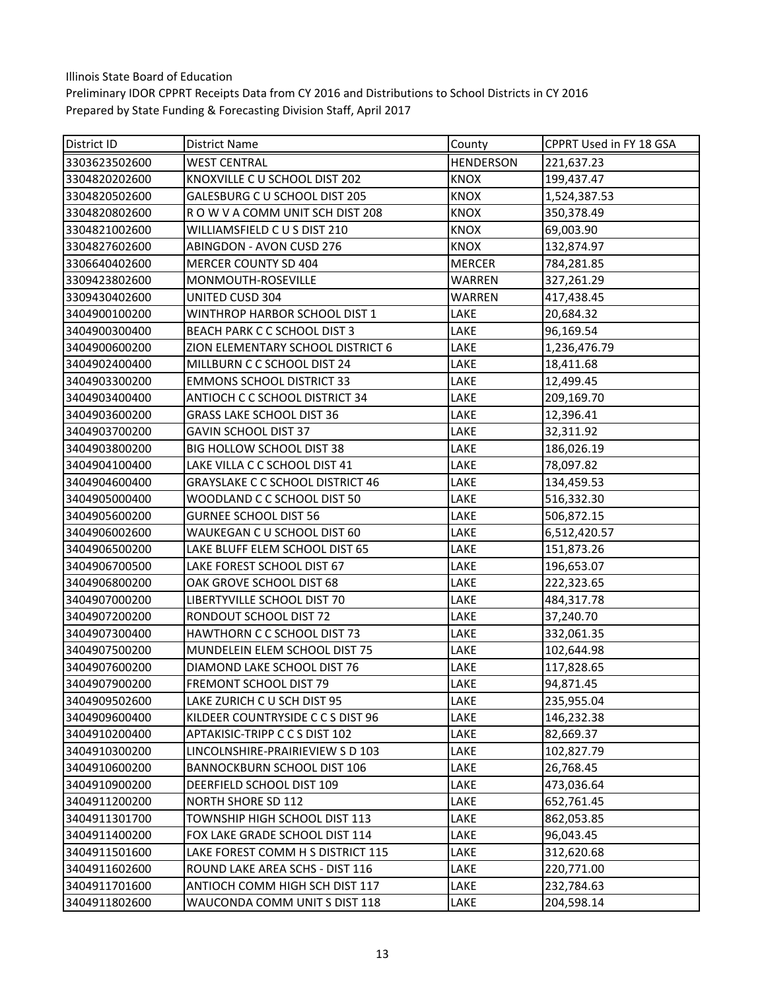| District ID   | District Name                           | County           | CPPRT Used in FY 18 GSA |
|---------------|-----------------------------------------|------------------|-------------------------|
| 3303623502600 | <b>WEST CENTRAL</b>                     | <b>HENDERSON</b> | 221,637.23              |
| 3304820202600 | KNOXVILLE C U SCHOOL DIST 202           | <b>KNOX</b>      | 199,437.47              |
| 3304820502600 | GALESBURG C U SCHOOL DIST 205           | <b>KNOX</b>      | 1,524,387.53            |
| 3304820802600 | ROW V A COMM UNIT SCH DIST 208          | KNOX             | 350,378.49              |
| 3304821002600 | WILLIAMSFIELD CUS DIST 210              | <b>KNOX</b>      | 69,003.90               |
| 3304827602600 | <b>ABINGDON - AVON CUSD 276</b>         | <b>KNOX</b>      | 132,874.97              |
| 3306640402600 | MERCER COUNTY SD 404                    | <b>MERCER</b>    | 784,281.85              |
| 3309423802600 | MONMOUTH-ROSEVILLE                      | WARREN           | 327,261.29              |
| 3309430402600 | UNITED CUSD 304                         | WARREN           | 417,438.45              |
| 3404900100200 | WINTHROP HARBOR SCHOOL DIST 1           | LAKE             | 20,684.32               |
| 3404900300400 | BEACH PARK C C SCHOOL DIST 3            | LAKE             | 96,169.54               |
| 3404900600200 | ZION ELEMENTARY SCHOOL DISTRICT 6       | LAKE             | 1,236,476.79            |
| 3404902400400 | MILLBURN C C SCHOOL DIST 24             | LAKE             | 18,411.68               |
| 3404903300200 | <b>EMMONS SCHOOL DISTRICT 33</b>        | LAKE             | 12,499.45               |
| 3404903400400 | ANTIOCH C C SCHOOL DISTRICT 34          | LAKE             | 209,169.70              |
| 3404903600200 | <b>GRASS LAKE SCHOOL DIST 36</b>        | LAKE             | 12,396.41               |
| 3404903700200 | <b>GAVIN SCHOOL DIST 37</b>             | LAKE             | 32,311.92               |
| 3404903800200 | BIG HOLLOW SCHOOL DIST 38               | LAKE             | 186,026.19              |
| 3404904100400 | LAKE VILLA C C SCHOOL DIST 41           | LAKE             | 78,097.82               |
| 3404904600400 | <b>GRAYSLAKE C C SCHOOL DISTRICT 46</b> | LAKE             | 134,459.53              |
| 3404905000400 | WOODLAND C C SCHOOL DIST 50             | LAKE             | 516,332.30              |
| 3404905600200 | <b>GURNEE SCHOOL DIST 56</b>            | LAKE             | 506,872.15              |
| 3404906002600 | WAUKEGAN C U SCHOOL DIST 60             | LAKE             | 6,512,420.57            |
| 3404906500200 | LAKE BLUFF ELEM SCHOOL DIST 65          | LAKE             | 151,873.26              |
| 3404906700500 | LAKE FOREST SCHOOL DIST 67              | LAKE             | 196,653.07              |
| 3404906800200 | OAK GROVE SCHOOL DIST 68                | LAKE             | 222,323.65              |
| 3404907000200 | LIBERTYVILLE SCHOOL DIST 70             | LAKE             | 484,317.78              |
| 3404907200200 | RONDOUT SCHOOL DIST 72                  | LAKE             | 37,240.70               |
| 3404907300400 | <b>HAWTHORN C C SCHOOL DIST 73</b>      | LAKE             | 332,061.35              |
| 3404907500200 | MUNDELEIN ELEM SCHOOL DIST 75           | LAKE             | 102,644.98              |
| 3404907600200 | DIAMOND LAKE SCHOOL DIST 76             | LAKE             | 117,828.65              |
| 3404907900200 | FREMONT SCHOOL DIST 79                  | LAKE             | 94,871.45               |
| 3404909502600 | LAKE ZURICH C U SCH DIST 95             | LAKE             | 235,955.04              |
| 3404909600400 | KILDEER COUNTRYSIDE C C S DIST 96       | LAKE             | 146,232.38              |
| 3404910200400 | APTAKISIC-TRIPP C C S DIST 102          | LAKE             | 82,669.37               |
| 3404910300200 | LINCOLNSHIRE-PRAIRIEVIEW SD 103         | LAKE             | 102,827.79              |
| 3404910600200 | BANNOCKBURN SCHOOL DIST 106             | LAKE             | 26,768.45               |
| 3404910900200 | DEERFIELD SCHOOL DIST 109               | LAKE             | 473,036.64              |
| 3404911200200 | NORTH SHORE SD 112                      | LAKE             | 652,761.45              |
| 3404911301700 | TOWNSHIP HIGH SCHOOL DIST 113           | LAKE             | 862,053.85              |
| 3404911400200 | FOX LAKE GRADE SCHOOL DIST 114          | LAKE             | 96,043.45               |
| 3404911501600 | LAKE FOREST COMM H S DISTRICT 115       | LAKE             | 312,620.68              |
| 3404911602600 | ROUND LAKE AREA SCHS - DIST 116         | LAKE             | 220,771.00              |
| 3404911701600 | ANTIOCH COMM HIGH SCH DIST 117          | LAKE             | 232,784.63              |
| 3404911802600 | WAUCONDA COMM UNIT S DIST 118           | LAKE             | 204,598.14              |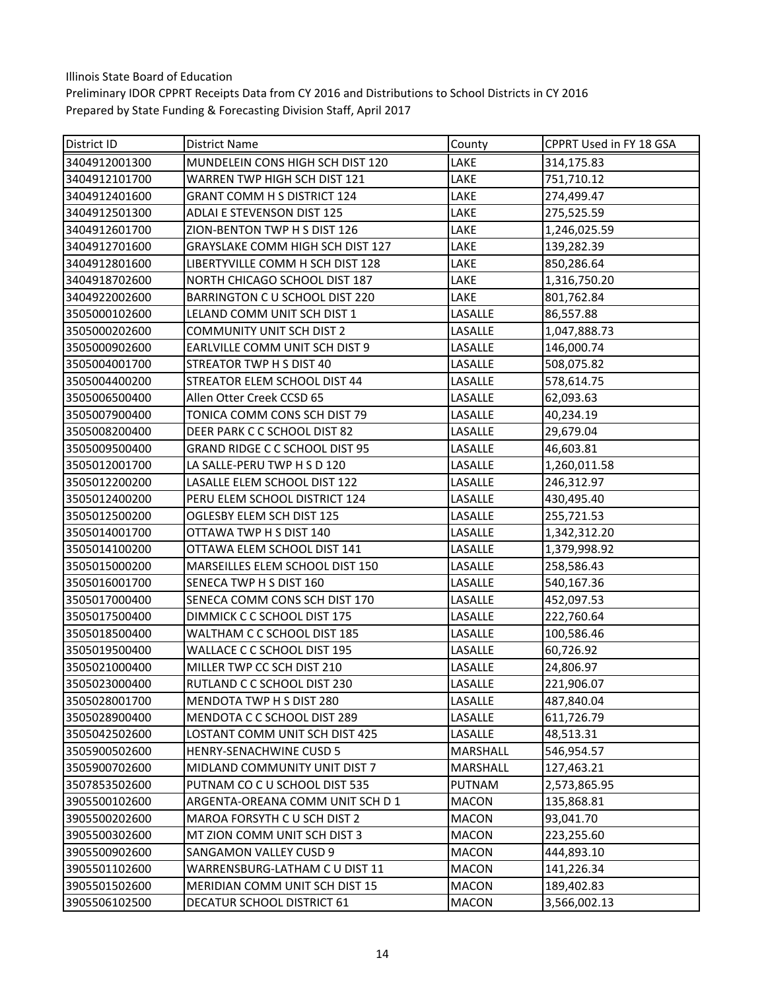| District ID   | District Name                     | County       | CPPRT Used in FY 18 GSA |
|---------------|-----------------------------------|--------------|-------------------------|
| 3404912001300 | MUNDELEIN CONS HIGH SCH DIST 120  | LAKE         | 314,175.83              |
| 3404912101700 | WARREN TWP HIGH SCH DIST 121      | LAKE         | 751,710.12              |
| 3404912401600 | GRANT COMM H S DISTRICT 124       | LAKE         | 274,499.47              |
| 3404912501300 | <b>ADLAI E STEVENSON DIST 125</b> | LAKE         | 275,525.59              |
| 3404912601700 | ZION-BENTON TWP H S DIST 126      | LAKE         | 1,246,025.59            |
| 3404912701600 | GRAYSLAKE COMM HIGH SCH DIST 127  | LAKE         | 139,282.39              |
| 3404912801600 | LIBERTYVILLE COMM H SCH DIST 128  | LAKE         | 850,286.64              |
| 3404918702600 | NORTH CHICAGO SCHOOL DIST 187     | LAKE         | 1,316,750.20            |
| 3404922002600 | BARRINGTON C U SCHOOL DIST 220    | LAKE         | 801,762.84              |
| 3505000102600 | LELAND COMM UNIT SCH DIST 1       | LASALLE      | 86,557.88               |
| 3505000202600 | <b>COMMUNITY UNIT SCH DIST 2</b>  | LASALLE      | 1,047,888.73            |
| 3505000902600 | EARLVILLE COMM UNIT SCH DIST 9    | LASALLE      | 146,000.74              |
| 3505004001700 | STREATOR TWP H S DIST 40          | LASALLE      | 508,075.82              |
| 3505004400200 | STREATOR ELEM SCHOOL DIST 44      | LASALLE      | 578,614.75              |
| 3505006500400 | Allen Otter Creek CCSD 65         | LASALLE      | 62,093.63               |
| 3505007900400 | TONICA COMM CONS SCH DIST 79      | LASALLE      | 40,234.19               |
| 3505008200400 | DEER PARK C C SCHOOL DIST 82      | LASALLE      | 29,679.04               |
| 3505009500400 | GRAND RIDGE C C SCHOOL DIST 95    | LASALLE      | 46,603.81               |
| 3505012001700 | LA SALLE-PERU TWP H S D 120       | LASALLE      | 1,260,011.58            |
| 3505012200200 | LASALLE ELEM SCHOOL DIST 122      | LASALLE      | 246,312.97              |
| 3505012400200 | PERU ELEM SCHOOL DISTRICT 124     | LASALLE      | 430,495.40              |
| 3505012500200 | OGLESBY ELEM SCH DIST 125         | LASALLE      | 255,721.53              |
| 3505014001700 | OTTAWA TWP H S DIST 140           | LASALLE      | 1,342,312.20            |
| 3505014100200 | OTTAWA ELEM SCHOOL DIST 141       | LASALLE      | 1,379,998.92            |
| 3505015000200 | MARSEILLES ELEM SCHOOL DIST 150   | LASALLE      | 258,586.43              |
| 3505016001700 | SENECA TWP H S DIST 160           | LASALLE      | 540,167.36              |
| 3505017000400 | SENECA COMM CONS SCH DIST 170     | LASALLE      | 452,097.53              |
| 3505017500400 | DIMMICK C C SCHOOL DIST 175       | LASALLE      | 222,760.64              |
| 3505018500400 | WALTHAM C C SCHOOL DIST 185       | LASALLE      | 100,586.46              |
| 3505019500400 | WALLACE C C SCHOOL DIST 195       | LASALLE      | 60,726.92               |
| 3505021000400 | MILLER TWP CC SCH DIST 210        | LASALLE      | 24,806.97               |
| 3505023000400 | RUTLAND C C SCHOOL DIST 230       | LASALLE      | 221,906.07              |
| 3505028001700 | MENDOTA TWP H S DIST 280          | LASALLE      | 487,840.04              |
| 3505028900400 | MENDOTA C C SCHOOL DIST 289       | LASALLE      | 611,726.79              |
| 3505042502600 | LOSTANT COMM UNIT SCH DIST 425    | LASALLE      | 48,513.31               |
| 3505900502600 | <b>HENRY-SENACHWINE CUSD 5</b>    | MARSHALL     | 546,954.57              |
| 3505900702600 | MIDLAND COMMUNITY UNIT DIST 7     | MARSHALL     | 127,463.21              |
| 3507853502600 | PUTNAM CO C U SCHOOL DIST 535     | PUTNAM       | 2,573,865.95            |
| 3905500102600 | ARGENTA-OREANA COMM UNIT SCH D 1  | <b>MACON</b> | 135,868.81              |
| 3905500202600 | MAROA FORSYTH C U SCH DIST 2      | <b>MACON</b> | 93,041.70               |
| 3905500302600 | MT ZION COMM UNIT SCH DIST 3      | <b>MACON</b> | 223,255.60              |
| 3905500902600 | <b>SANGAMON VALLEY CUSD 9</b>     | MACON        | 444,893.10              |
| 3905501102600 | WARRENSBURG-LATHAM C U DIST 11    | <b>MACON</b> | 141,226.34              |
| 3905501502600 | MERIDIAN COMM UNIT SCH DIST 15    | <b>MACON</b> | 189,402.83              |
| 3905506102500 | DECATUR SCHOOL DISTRICT 61        | <b>MACON</b> | 3,566,002.13            |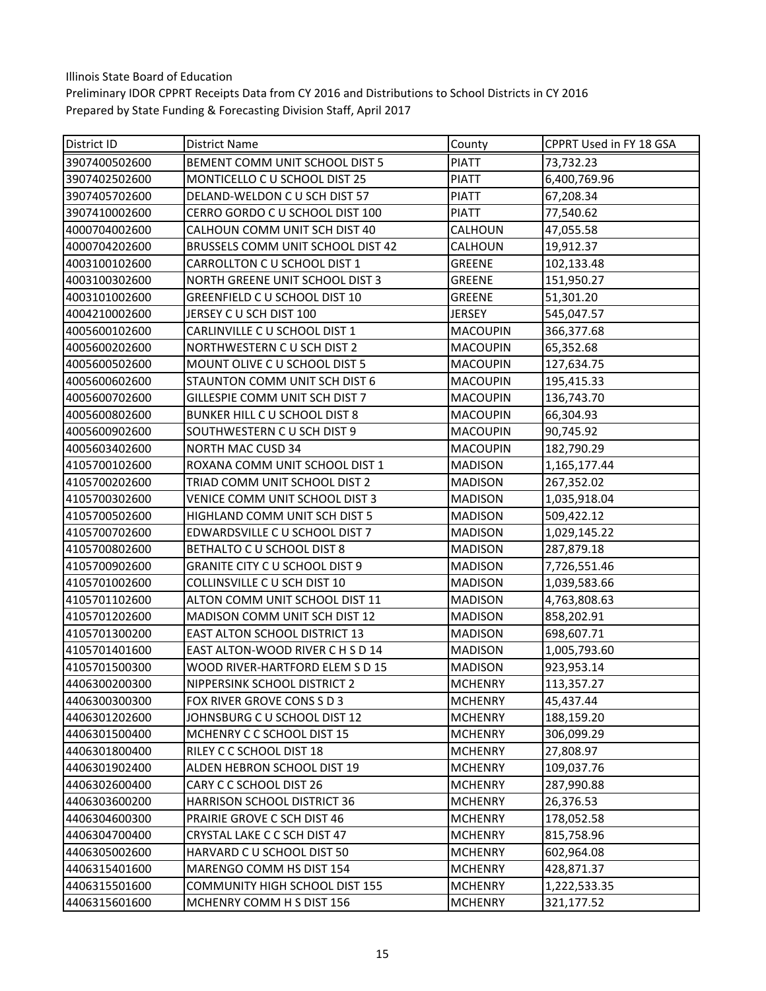| District ID   | <b>District Name</b>                  | County          | CPPRT Used in FY 18 GSA |
|---------------|---------------------------------------|-----------------|-------------------------|
| 3907400502600 | BEMENT COMM UNIT SCHOOL DIST 5        | <b>PIATT</b>    | 73,732.23               |
| 3907402502600 | MONTICELLO C U SCHOOL DIST 25         | <b>PIATT</b>    | 6,400,769.96            |
| 3907405702600 | DELAND-WELDON C U SCH DIST 57         | <b>PIATT</b>    | 67,208.34               |
| 3907410002600 | CERRO GORDO C U SCHOOL DIST 100       | <b>PIATT</b>    | 77,540.62               |
| 4000704002600 | CALHOUN COMM UNIT SCH DIST 40         | CALHOUN         | 47,055.58               |
| 4000704202600 | BRUSSELS COMM UNIT SCHOOL DIST 42     | CALHOUN         | 19,912.37               |
| 4003100102600 | CARROLLTON C U SCHOOL DIST 1          | <b>GREENE</b>   | 102,133.48              |
| 4003100302600 | NORTH GREENE UNIT SCHOOL DIST 3       | <b>GREENE</b>   | 151,950.27              |
| 4003101002600 | GREENFIELD CU SCHOOL DIST 10          | <b>GREENE</b>   | 51,301.20               |
| 4004210002600 | JERSEY C U SCH DIST 100               | <b>JERSEY</b>   | 545,047.57              |
| 4005600102600 | CARLINVILLE C U SCHOOL DIST 1         | <b>MACOUPIN</b> | 366,377.68              |
| 4005600202600 | NORTHWESTERN CU SCH DIST 2            | <b>MACOUPIN</b> | 65,352.68               |
| 4005600502600 | MOUNT OLIVE C U SCHOOL DIST 5         | <b>MACOUPIN</b> | 127,634.75              |
| 4005600602600 | STAUNTON COMM UNIT SCH DIST 6         | <b>MACOUPIN</b> | 195,415.33              |
| 4005600702600 | GILLESPIE COMM UNIT SCH DIST 7        | <b>MACOUPIN</b> | 136,743.70              |
| 4005600802600 | BUNKER HILL C U SCHOOL DIST 8         | <b>MACOUPIN</b> | 66,304.93               |
| 4005600902600 | SOUTHWESTERN C U SCH DIST 9           | <b>MACOUPIN</b> | 90,745.92               |
| 4005603402600 | <b>NORTH MAC CUSD 34</b>              | <b>MACOUPIN</b> | 182,790.29              |
| 4105700102600 | ROXANA COMM UNIT SCHOOL DIST 1        | <b>MADISON</b>  | 1,165,177.44            |
| 4105700202600 | TRIAD COMM UNIT SCHOOL DIST 2         | <b>MADISON</b>  | 267,352.02              |
| 4105700302600 | VENICE COMM UNIT SCHOOL DIST 3        | <b>MADISON</b>  | 1,035,918.04            |
| 4105700502600 | HIGHLAND COMM UNIT SCH DIST 5         | <b>MADISON</b>  | 509,422.12              |
| 4105700702600 | EDWARDSVILLE C U SCHOOL DIST 7        | <b>MADISON</b>  | 1,029,145.22            |
| 4105700802600 | BETHALTO C U SCHOOL DIST 8            | <b>MADISON</b>  | 287,879.18              |
| 4105700902600 | <b>GRANITE CITY C U SCHOOL DIST 9</b> | <b>MADISON</b>  | 7,726,551.46            |
| 4105701002600 | COLLINSVILLE C U SCH DIST 10          | <b>MADISON</b>  | 1,039,583.66            |
| 4105701102600 | ALTON COMM UNIT SCHOOL DIST 11        | <b>MADISON</b>  | 4,763,808.63            |
| 4105701202600 | MADISON COMM UNIT SCH DIST 12         | <b>MADISON</b>  | 858,202.91              |
| 4105701300200 | <b>EAST ALTON SCHOOL DISTRICT 13</b>  | <b>MADISON</b>  | 698,607.71              |
| 4105701401600 | EAST ALTON-WOOD RIVER C H S D 14      | <b>MADISON</b>  | 1,005,793.60            |
| 4105701500300 | WOOD RIVER-HARTFORD ELEM S D 15       | <b>MADISON</b>  | 923,953.14              |
| 4406300200300 | NIPPERSINK SCHOOL DISTRICT 2          | <b>MCHENRY</b>  | 113,357.27              |
| 4406300300300 | FOX RIVER GROVE CONS S D 3            | <b>MCHENRY</b>  | 45,437.44               |
| 4406301202600 | JOHNSBURG C U SCHOOL DIST 12          | <b>MCHENRY</b>  | 188,159.20              |
| 4406301500400 | MCHENRY C C SCHOOL DIST 15            | <b>MCHENRY</b>  | 306,099.29              |
| 4406301800400 | RILEY C C SCHOOL DIST 18              | <b>MCHENRY</b>  | 27,808.97               |
| 4406301902400 | ALDEN HEBRON SCHOOL DIST 19           | <b>MCHENRY</b>  | 109,037.76              |
| 4406302600400 | CARY C C SCHOOL DIST 26               | <b>MCHENRY</b>  | 287,990.88              |
| 4406303600200 | HARRISON SCHOOL DISTRICT 36           | <b>MCHENRY</b>  | 26,376.53               |
| 4406304600300 | PRAIRIE GROVE C SCH DIST 46           | <b>MCHENRY</b>  | 178,052.58              |
| 4406304700400 | CRYSTAL LAKE C C SCH DIST 47          | <b>MCHENRY</b>  | 815,758.96              |
| 4406305002600 | HARVARD C U SCHOOL DIST 50            | <b>MCHENRY</b>  | 602,964.08              |
| 4406315401600 | MARENGO COMM HS DIST 154              | <b>MCHENRY</b>  | 428,871.37              |
| 4406315501600 | COMMUNITY HIGH SCHOOL DIST 155        | <b>MCHENRY</b>  | 1,222,533.35            |
| 4406315601600 | MCHENRY COMM H S DIST 156             | <b>MCHENRY</b>  | 321,177.52              |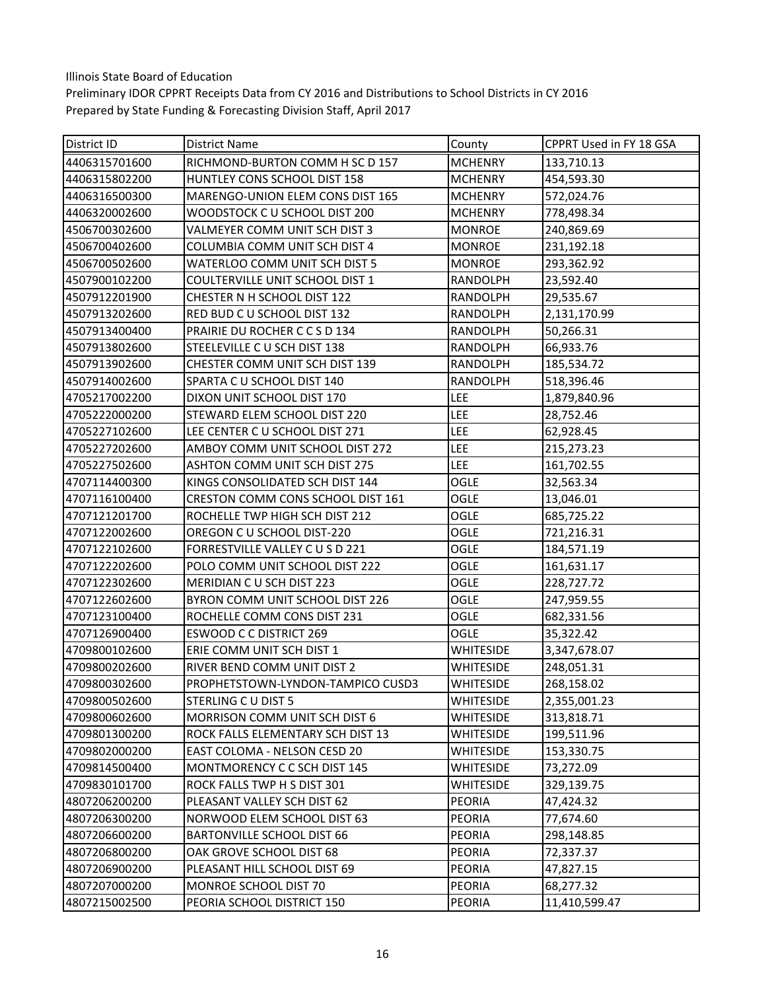| District ID   | District Name                        | County          | CPPRT Used in FY 18 GSA |
|---------------|--------------------------------------|-----------------|-------------------------|
| 4406315701600 | RICHMOND-BURTON COMM H SC D 157      | <b>MCHENRY</b>  | 133,710.13              |
| 4406315802200 | HUNTLEY CONS SCHOOL DIST 158         | <b>MCHENRY</b>  | 454,593.30              |
| 4406316500300 | MARENGO-UNION ELEM CONS DIST 165     | <b>MCHENRY</b>  | 572,024.76              |
| 4406320002600 | WOODSTOCK C U SCHOOL DIST 200        | <b>MCHENRY</b>  | 778,498.34              |
| 4506700302600 | VALMEYER COMM UNIT SCH DIST 3        | <b>MONROE</b>   | 240,869.69              |
| 4506700402600 | COLUMBIA COMM UNIT SCH DIST 4        | <b>MONROE</b>   | 231,192.18              |
| 4506700502600 | WATERLOO COMM UNIT SCH DIST 5        | <b>MONROE</b>   | 293,362.92              |
| 4507900102200 | COULTERVILLE UNIT SCHOOL DIST 1      | RANDOLPH        | 23,592.40               |
| 4507912201900 | CHESTER N H SCHOOL DIST 122          | RANDOLPH        | 29,535.67               |
| 4507913202600 | RED BUD C U SCHOOL DIST 132          | RANDOLPH        | 2,131,170.99            |
| 4507913400400 | PRAIRIE DU ROCHER C C S D 134        | RANDOLPH        | 50,266.31               |
| 4507913802600 | STEELEVILLE CU SCH DIST 138          | RANDOLPH        | 66,933.76               |
| 4507913902600 | CHESTER COMM UNIT SCH DIST 139       | <b>RANDOLPH</b> | 185,534.72              |
| 4507914002600 | SPARTA CU SCHOOL DIST 140            | RANDOLPH        | 518,396.46              |
| 4705217002200 | DIXON UNIT SCHOOL DIST 170           | LEE             | 1,879,840.96            |
| 4705222000200 | STEWARD ELEM SCHOOL DIST 220         | LEE             | 28,752.46               |
| 4705227102600 | LEE CENTER C U SCHOOL DIST 271       | <b>LEE</b>      | 62,928.45               |
| 4705227202600 | AMBOY COMM UNIT SCHOOL DIST 272      | LEE             | 215,273.23              |
| 4705227502600 | ASHTON COMM UNIT SCH DIST 275        | <b>LEE</b>      | 161,702.55              |
| 4707114400300 | KINGS CONSOLIDATED SCH DIST 144      | OGLE            | 32,563.34               |
| 4707116100400 | CRESTON COMM CONS SCHOOL DIST 161    | OGLE            | 13,046.01               |
| 4707121201700 | ROCHELLE TWP HIGH SCH DIST 212       | <b>OGLE</b>     | 685,725.22              |
| 4707122002600 | OREGON C U SCHOOL DIST-220           | OGLE            | 721,216.31              |
| 4707122102600 | FORRESTVILLE VALLEY CUSD 221         | OGLE            | 184,571.19              |
| 4707122202600 | POLO COMM UNIT SCHOOL DIST 222       | OGLE            | 161,631.17              |
| 4707122302600 | MERIDIAN CU SCH DIST 223             | <b>OGLE</b>     | 228,727.72              |
| 4707122602600 | BYRON COMM UNIT SCHOOL DIST 226      | OGLE            | 247,959.55              |
| 4707123100400 | ROCHELLE COMM CONS DIST 231          | OGLE            | 682,331.56              |
| 4707126900400 | <b>ESWOOD C C DISTRICT 269</b>       | <b>OGLE</b>     | 35,322.42               |
| 4709800102600 | ERIE COMM UNIT SCH DIST 1            | WHITESIDE       | 3,347,678.07            |
| 4709800202600 | RIVER BEND COMM UNIT DIST 2          | WHITESIDE       | 248,051.31              |
| 4709800302600 | PROPHETSTOWN-LYNDON-TAMPICO CUSD3    | WHITESIDE       | 268,158.02              |
| 4709800502600 | STERLING C U DIST 5                  | WHITESIDE       | 2,355,001.23            |
| 4709800602600 | <b>MORRISON COMM UNIT SCH DIST 6</b> | WHITESIDE       | 313,818.71              |
| 4709801300200 | ROCK FALLS ELEMENTARY SCH DIST 13    | WHITESIDE       | 199,511.96              |
| 4709802000200 | EAST COLOMA - NELSON CESD 20         | WHITESIDE       | 153,330.75              |
| 4709814500400 | MONTMORENCY C C SCH DIST 145         | WHITESIDE       | 73,272.09               |
| 4709830101700 | ROCK FALLS TWP H S DIST 301          | WHITESIDE       | 329,139.75              |
| 4807206200200 | PLEASANT VALLEY SCH DIST 62          | <b>PEORIA</b>   | 47,424.32               |
| 4807206300200 | NORWOOD ELEM SCHOOL DIST 63          | <b>PEORIA</b>   | 77,674.60               |
| 4807206600200 | <b>BARTONVILLE SCHOOL DIST 66</b>    | <b>PEORIA</b>   | 298,148.85              |
| 4807206800200 | OAK GROVE SCHOOL DIST 68             | <b>PEORIA</b>   | 72,337.37               |
| 4807206900200 | PLEASANT HILL SCHOOL DIST 69         | <b>PEORIA</b>   | 47,827.15               |
| 4807207000200 | MONROE SCHOOL DIST 70                | <b>PEORIA</b>   | 68,277.32               |
| 4807215002500 | PEORIA SCHOOL DISTRICT 150           | PEORIA          | 11,410,599.47           |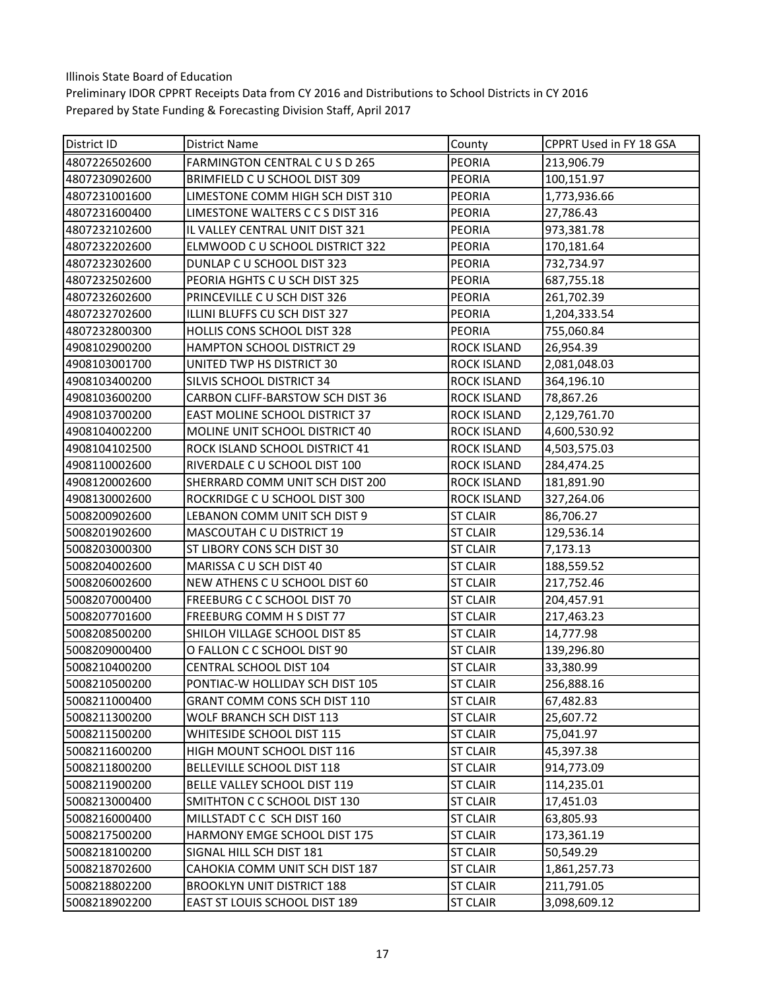| District ID   | <b>District Name</b>                  | County             | CPPRT Used in FY 18 GSA |
|---------------|---------------------------------------|--------------------|-------------------------|
| 4807226502600 | FARMINGTON CENTRAL CUSD 265           | <b>PEORIA</b>      | 213,906.79              |
| 4807230902600 | BRIMFIELD C U SCHOOL DIST 309         | <b>PEORIA</b>      | 100,151.97              |
| 4807231001600 | LIMESTONE COMM HIGH SCH DIST 310      | <b>PEORIA</b>      | 1,773,936.66            |
| 4807231600400 | LIMESTONE WALTERS C C S DIST 316      | <b>PEORIA</b>      | 27,786.43               |
| 4807232102600 | IL VALLEY CENTRAL UNIT DIST 321       | <b>PEORIA</b>      | 973,381.78              |
| 4807232202600 | ELMWOOD C U SCHOOL DISTRICT 322       | <b>PEORIA</b>      | 170,181.64              |
| 4807232302600 | DUNLAP C U SCHOOL DIST 323            | <b>PEORIA</b>      | 732,734.97              |
| 4807232502600 | PEORIA HGHTS CU SCH DIST 325          | <b>PEORIA</b>      | 687,755.18              |
| 4807232602600 | PRINCEVILLE C U SCH DIST 326          | <b>PEORIA</b>      | 261,702.39              |
| 4807232702600 | ILLINI BLUFFS CU SCH DIST 327         | <b>PEORIA</b>      | 1,204,333.54            |
| 4807232800300 | HOLLIS CONS SCHOOL DIST 328           | PEORIA             | 755,060.84              |
| 4908102900200 | <b>HAMPTON SCHOOL DISTRICT 29</b>     | <b>ROCK ISLAND</b> | 26,954.39               |
| 4908103001700 | UNITED TWP HS DISTRICT 30             | <b>ROCK ISLAND</b> | 2,081,048.03            |
| 4908103400200 | SILVIS SCHOOL DISTRICT 34             | <b>ROCK ISLAND</b> | 364,196.10              |
| 4908103600200 | CARBON CLIFF-BARSTOW SCH DIST 36      | <b>ROCK ISLAND</b> | 78,867.26               |
| 4908103700200 | <b>EAST MOLINE SCHOOL DISTRICT 37</b> | <b>ROCK ISLAND</b> | 2,129,761.70            |
| 4908104002200 | MOLINE UNIT SCHOOL DISTRICT 40        | <b>ROCK ISLAND</b> | 4,600,530.92            |
| 4908104102500 | ROCK ISLAND SCHOOL DISTRICT 41        | <b>ROCK ISLAND</b> | 4,503,575.03            |
| 4908110002600 | RIVERDALE C U SCHOOL DIST 100         | <b>ROCK ISLAND</b> | 284,474.25              |
| 4908120002600 | SHERRARD COMM UNIT SCH DIST 200       | <b>ROCK ISLAND</b> | 181,891.90              |
| 4908130002600 | ROCKRIDGE C U SCHOOL DIST 300         | <b>ROCK ISLAND</b> | 327,264.06              |
| 5008200902600 | LEBANON COMM UNIT SCH DIST 9          | <b>ST CLAIR</b>    | 86,706.27               |
| 5008201902600 | MASCOUTAH C U DISTRICT 19             | <b>ST CLAIR</b>    | 129,536.14              |
| 5008203000300 | ST LIBORY CONS SCH DIST 30            | <b>ST CLAIR</b>    | 7,173.13                |
| 5008204002600 | MARISSA C U SCH DIST 40               | <b>ST CLAIR</b>    | 188,559.52              |
| 5008206002600 | NEW ATHENS C U SCHOOL DIST 60         | <b>ST CLAIR</b>    | 217,752.46              |
| 5008207000400 | FREEBURG C C SCHOOL DIST 70           | <b>ST CLAIR</b>    | 204,457.91              |
| 5008207701600 | FREEBURG COMM H S DIST 77             | <b>ST CLAIR</b>    | 217,463.23              |
| 5008208500200 | SHILOH VILLAGE SCHOOL DIST 85         | <b>ST CLAIR</b>    | 14,777.98               |
| 5008209000400 | O FALLON C C SCHOOL DIST 90           | <b>ST CLAIR</b>    | 139,296.80              |
| 5008210400200 | CENTRAL SCHOOL DIST 104               | <b>ST CLAIR</b>    | 33,380.99               |
| 5008210500200 | PONTIAC-W HOLLIDAY SCH DIST 105       | <b>ST CLAIR</b>    | 256,888.16              |
| 5008211000400 | GRANT COMM CONS SCH DIST 110          | <b>ST CLAIR</b>    | 67,482.83               |
| 5008211300200 | WOLF BRANCH SCH DIST 113              | <b>ST CLAIR</b>    | 25,607.72               |
| 5008211500200 | <b>WHITESIDE SCHOOL DIST 115</b>      | <b>ST CLAIR</b>    | 75,041.97               |
| 5008211600200 | HIGH MOUNT SCHOOL DIST 116            | <b>ST CLAIR</b>    | 45,397.38               |
| 5008211800200 | BELLEVILLE SCHOOL DIST 118            | <b>ST CLAIR</b>    | 914,773.09              |
| 5008211900200 | BELLE VALLEY SCHOOL DIST 119          | <b>ST CLAIR</b>    | 114,235.01              |
| 5008213000400 | SMITHTON C C SCHOOL DIST 130          | <b>ST CLAIR</b>    | 17,451.03               |
| 5008216000400 | MILLSTADT C C SCH DIST 160            | <b>ST CLAIR</b>    | 63,805.93               |
| 5008217500200 | HARMONY EMGE SCHOOL DIST 175          | <b>ST CLAIR</b>    | 173,361.19              |
| 5008218100200 | SIGNAL HILL SCH DIST 181              | <b>ST CLAIR</b>    | 50,549.29               |
| 5008218702600 | CAHOKIA COMM UNIT SCH DIST 187        | <b>ST CLAIR</b>    | 1,861,257.73            |
| 5008218802200 | <b>BROOKLYN UNIT DISTRICT 188</b>     | <b>ST CLAIR</b>    | 211,791.05              |
| 5008218902200 | EAST ST LOUIS SCHOOL DIST 189         | <b>ST CLAIR</b>    | 3,098,609.12            |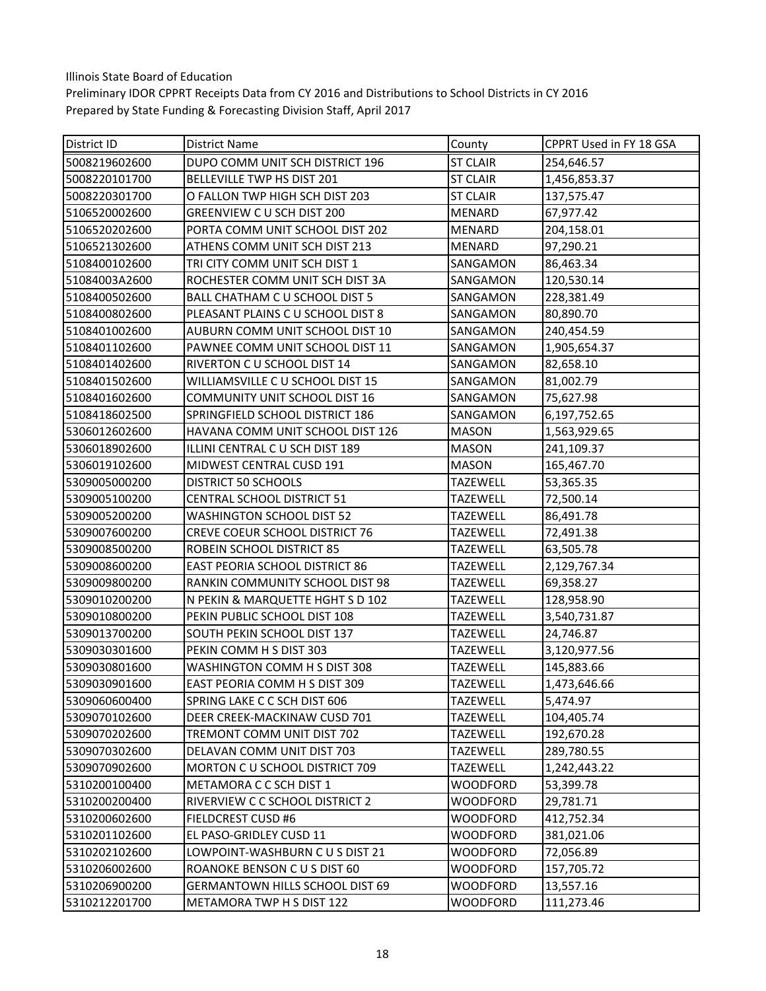| District ID   | District Name                          | County          | CPPRT Used in FY 18 GSA |
|---------------|----------------------------------------|-----------------|-------------------------|
| 5008219602600 | DUPO COMM UNIT SCH DISTRICT 196        | <b>ST CLAIR</b> | 254,646.57              |
| 5008220101700 | BELLEVILLE TWP HS DIST 201             | <b>ST CLAIR</b> | 1,456,853.37            |
| 5008220301700 | O FALLON TWP HIGH SCH DIST 203         | <b>ST CLAIR</b> | 137,575.47              |
| 5106520002600 | GREENVIEW CU SCH DIST 200              | <b>MENARD</b>   | 67,977.42               |
| 5106520202600 | PORTA COMM UNIT SCHOOL DIST 202        | <b>MENARD</b>   | 204,158.01              |
| 5106521302600 | ATHENS COMM UNIT SCH DIST 213          | <b>MENARD</b>   | 97,290.21               |
| 5108400102600 | TRI CITY COMM UNIT SCH DIST 1          | SANGAMON        | 86,463.34               |
| 51084003A2600 | ROCHESTER COMM UNIT SCH DIST 3A        | SANGAMON        | 120,530.14              |
| 5108400502600 | BALL CHATHAM C U SCHOOL DIST 5         | SANGAMON        | 228,381.49              |
| 5108400802600 | PLEASANT PLAINS CU SCHOOL DIST 8       | SANGAMON        | 80,890.70               |
| 5108401002600 | AUBURN COMM UNIT SCHOOL DIST 10        | SANGAMON        | 240,454.59              |
| 5108401102600 | PAWNEE COMM UNIT SCHOOL DIST 11        | SANGAMON        | 1,905,654.37            |
| 5108401402600 | RIVERTON C U SCHOOL DIST 14            | SANGAMON        | 82,658.10               |
| 5108401502600 | WILLIAMSVILLE C U SCHOOL DIST 15       | SANGAMON        | 81,002.79               |
| 5108401602600 | COMMUNITY UNIT SCHOOL DIST 16          | SANGAMON        | 75,627.98               |
| 5108418602500 | SPRINGFIELD SCHOOL DISTRICT 186        | SANGAMON        | 6,197,752.65            |
| 5306012602600 | HAVANA COMM UNIT SCHOOL DIST 126       | <b>MASON</b>    | 1,563,929.65            |
| 5306018902600 | ILLINI CENTRAL CU SCH DIST 189         | <b>MASON</b>    | 241,109.37              |
| 5306019102600 | <b>MIDWEST CENTRAL CUSD 191</b>        | <b>MASON</b>    | 165,467.70              |
| 5309005000200 | DISTRICT 50 SCHOOLS                    | <b>TAZEWELL</b> | 53,365.35               |
| 5309005100200 | <b>CENTRAL SCHOOL DISTRICT 51</b>      | <b>TAZEWELL</b> | 72,500.14               |
| 5309005200200 | <b>WASHINGTON SCHOOL DIST 52</b>       | <b>TAZEWELL</b> | 86,491.78               |
| 5309007600200 | CREVE COEUR SCHOOL DISTRICT 76         | <b>TAZEWELL</b> | 72,491.38               |
| 5309008500200 | ROBEIN SCHOOL DISTRICT 85              | <b>TAZEWELL</b> | 63,505.78               |
| 5309008600200 | <b>EAST PEORIA SCHOOL DISTRICT 86</b>  | <b>TAZEWELL</b> | 2,129,767.34            |
| 5309009800200 | RANKIN COMMUNITY SCHOOL DIST 98        | <b>TAZEWELL</b> | 69,358.27               |
| 5309010200200 | N PEKIN & MARQUETTE HGHT S D 102       | <b>TAZEWELL</b> | 128,958.90              |
| 5309010800200 | PEKIN PUBLIC SCHOOL DIST 108           | <b>TAZEWELL</b> | 3,540,731.87            |
| 5309013700200 | SOUTH PEKIN SCHOOL DIST 137            | <b>TAZEWELL</b> | 24,746.87               |
| 5309030301600 | PEKIN COMM H S DIST 303                | <b>TAZEWELL</b> | 3,120,977.56            |
| 5309030801600 | WASHINGTON COMM H S DIST 308           | <b>TAZEWELL</b> | 145,883.66              |
| 5309030901600 | EAST PEORIA COMM H S DIST 309          | <b>TAZEWELL</b> | 1,473,646.66            |
| 5309060600400 | SPRING LAKE C C SCH DIST 606           | TAZEWELL        | 5,474.97                |
| 5309070102600 | DEER CREEK-MACKINAW CUSD 701           | <b>TAZEWELL</b> | 104,405.74              |
| 5309070202600 | TREMONT COMM UNIT DIST 702             | <b>TAZEWELL</b> | 192,670.28              |
| 5309070302600 | DELAVAN COMM UNIT DIST 703             | <b>TAZEWELL</b> | 289,780.55              |
| 5309070902600 | <b>MORTON C U SCHOOL DISTRICT 709</b>  | <b>TAZEWELL</b> | 1,242,443.22            |
| 5310200100400 | METAMORA C C SCH DIST 1                | <b>WOODFORD</b> | 53,399.78               |
| 5310200200400 | RIVERVIEW C C SCHOOL DISTRICT 2        | <b>WOODFORD</b> | 29,781.71               |
| 5310200602600 | FIELDCREST CUSD #6                     | <b>WOODFORD</b> | 412,752.34              |
| 5310201102600 | EL PASO-GRIDLEY CUSD 11                | <b>WOODFORD</b> | 381,021.06              |
| 5310202102600 | LOWPOINT-WASHBURN C U S DIST 21        | <b>WOODFORD</b> | 72,056.89               |
| 5310206002600 | ROANOKE BENSON C U S DIST 60           | <b>WOODFORD</b> | 157,705.72              |
| 5310206900200 | <b>GERMANTOWN HILLS SCHOOL DIST 69</b> | <b>WOODFORD</b> | 13,557.16               |
| 5310212201700 | METAMORA TWP H S DIST 122              | WOODFORD        | 111,273.46              |